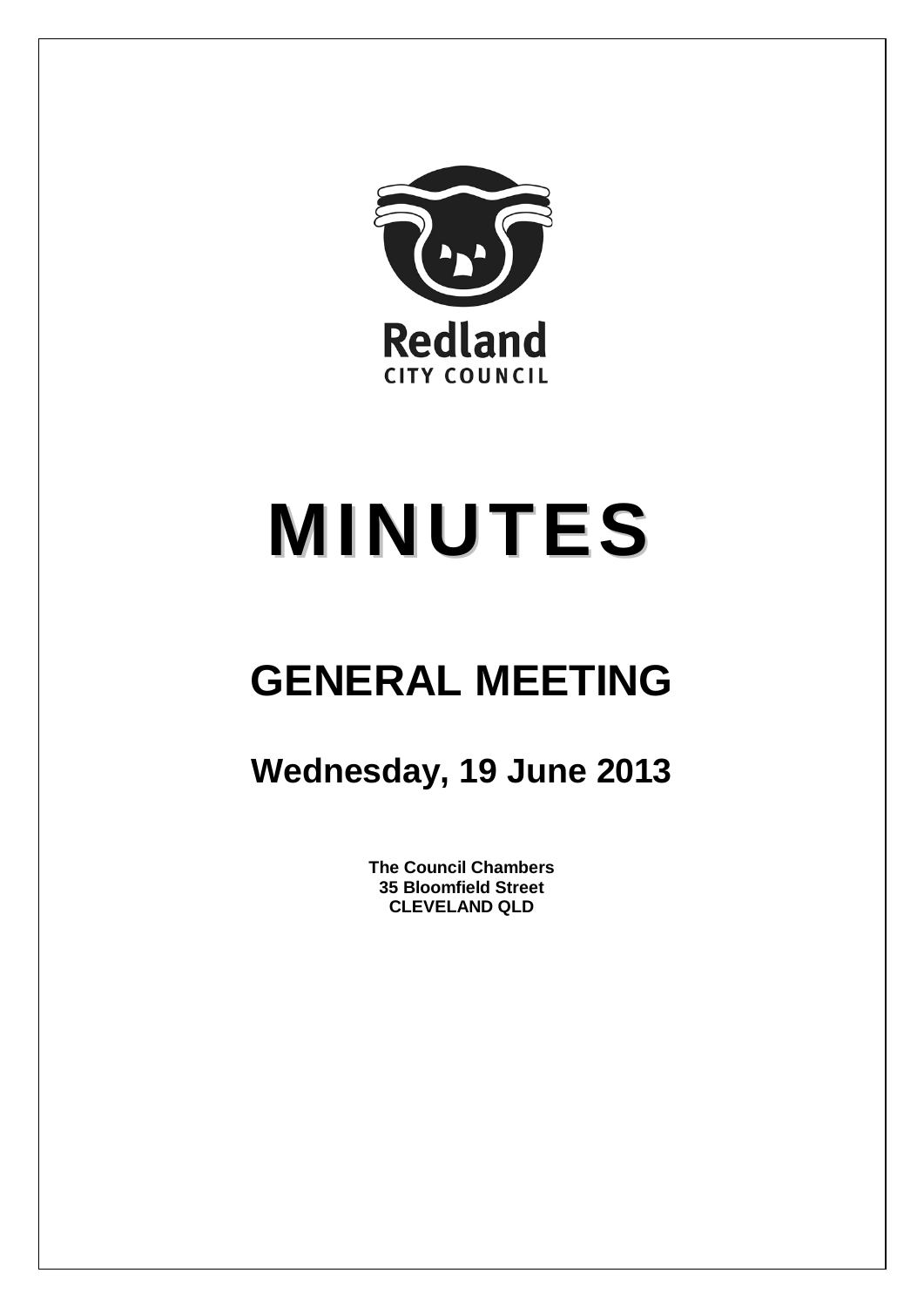

# **MINUTES**

## **GENERAL MEETING**

### **Wednesday, 19 June 2013**

**The Council Chambers 35 Bloomfield Street CLEVELAND QLD**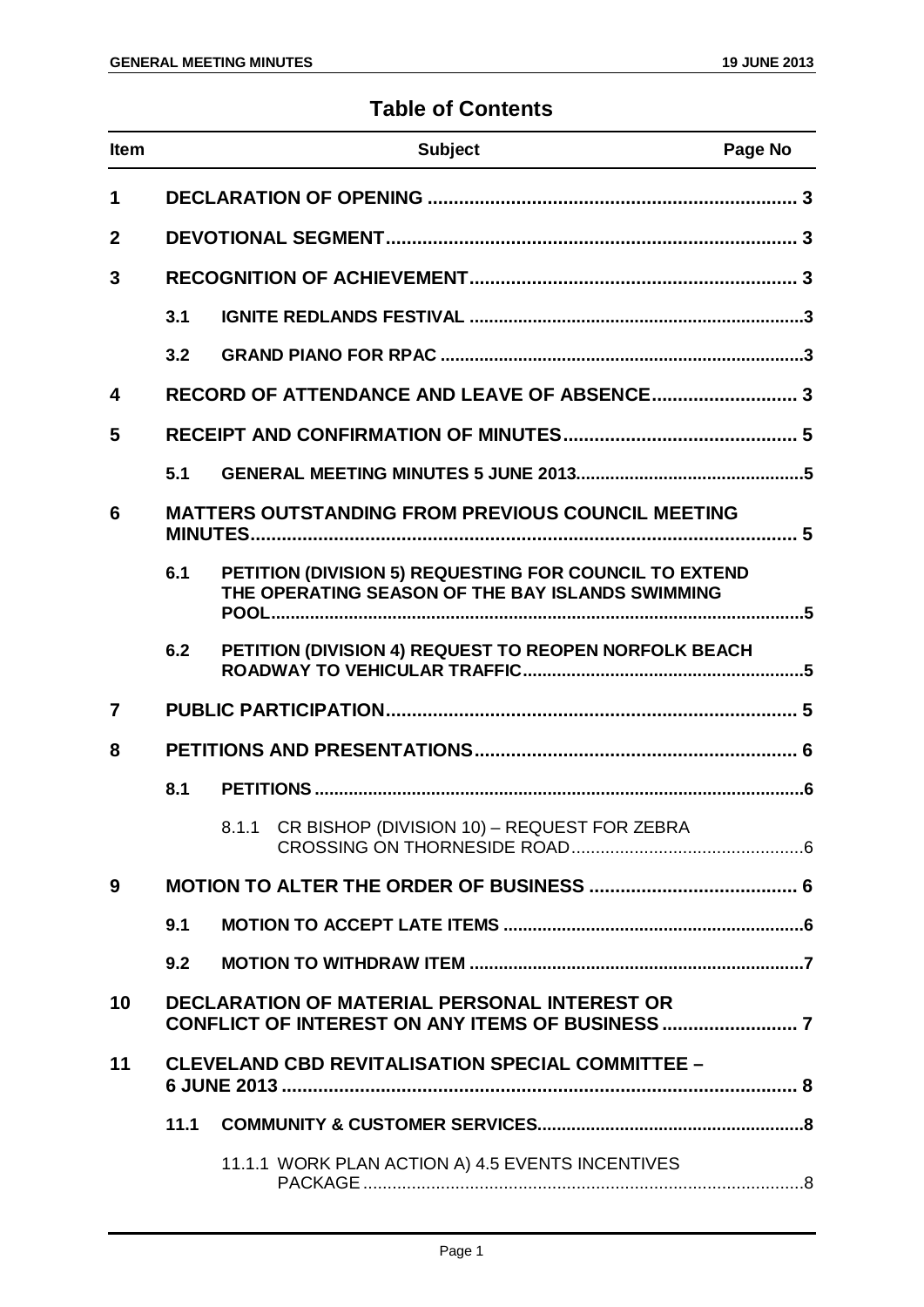#### **Table of Contents**

| <b>Item</b>    |      | <b>Subject</b>                                                                                             | Page No |
|----------------|------|------------------------------------------------------------------------------------------------------------|---------|
| 1              |      |                                                                                                            |         |
| $\mathbf{2}$   |      |                                                                                                            |         |
| 3              |      |                                                                                                            |         |
|                | 3.1  |                                                                                                            |         |
|                | 3.2  |                                                                                                            |         |
| 4              |      |                                                                                                            |         |
| 5              |      |                                                                                                            |         |
|                | 5.1  |                                                                                                            |         |
| 6              |      | <b>MATTERS OUTSTANDING FROM PREVIOUS COUNCIL MEETING</b>                                                   |         |
|                | 6.1  | PETITION (DIVISION 5) REQUESTING FOR COUNCIL TO EXTEND<br>THE OPERATING SEASON OF THE BAY ISLANDS SWIMMING |         |
|                | 6.2  | PETITION (DIVISION 4) REQUEST TO REOPEN NORFOLK BEACH                                                      |         |
| $\overline{7}$ |      |                                                                                                            |         |
| 8              |      |                                                                                                            |         |
|                | 8.1  |                                                                                                            |         |
|                |      | 8.1.1 CR BISHOP (DIVISION 10) - REQUEST FOR ZEBRA                                                          |         |
| 9              |      |                                                                                                            |         |
|                | 9.1  |                                                                                                            |         |
|                | 9.2  |                                                                                                            |         |
| 10             |      | <b>DECLARATION OF MATERIAL PERSONAL INTEREST OR</b>                                                        |         |
| 11             |      | <b>CLEVELAND CBD REVITALISATION SPECIAL COMMITTEE -</b>                                                    |         |
|                | 11.1 |                                                                                                            |         |
|                |      | 11.1.1 WORK PLAN ACTION A) 4.5 EVENTS INCENTIVES                                                           |         |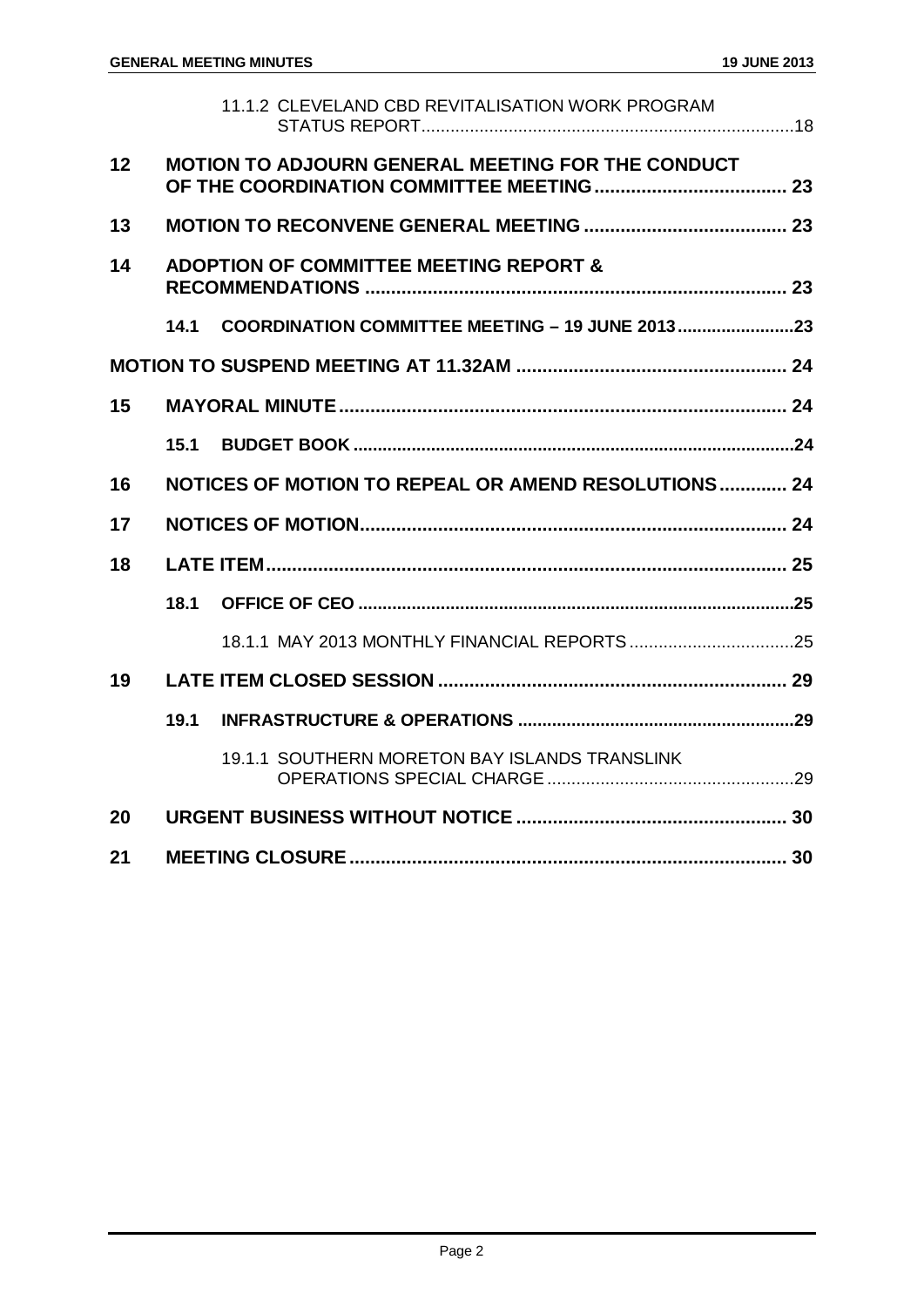|    |      | 11.1.2 CLEVELAND CBD REVITALISATION WORK PROGRAM         |  |
|----|------|----------------------------------------------------------|--|
| 12 |      | <b>MOTION TO ADJOURN GENERAL MEETING FOR THE CONDUCT</b> |  |
| 13 |      |                                                          |  |
| 14 |      | <b>ADOPTION OF COMMITTEE MEETING REPORT &amp;</b>        |  |
|    | 14.1 | <b>COORDINATION COMMITTEE MEETING - 19 JUNE 2013 23</b>  |  |
|    |      |                                                          |  |
| 15 |      |                                                          |  |
|    | 15.1 |                                                          |  |
| 16 |      | NOTICES OF MOTION TO REPEAL OR AMEND RESOLUTIONS 24      |  |
| 17 |      |                                                          |  |
| 18 |      |                                                          |  |
|    | 18.1 |                                                          |  |
|    |      |                                                          |  |
| 19 |      |                                                          |  |
|    | 19.1 |                                                          |  |
|    |      | 19.1.1 SOUTHERN MORETON BAY ISLANDS TRANSLINK            |  |
| 20 |      |                                                          |  |
| 21 |      |                                                          |  |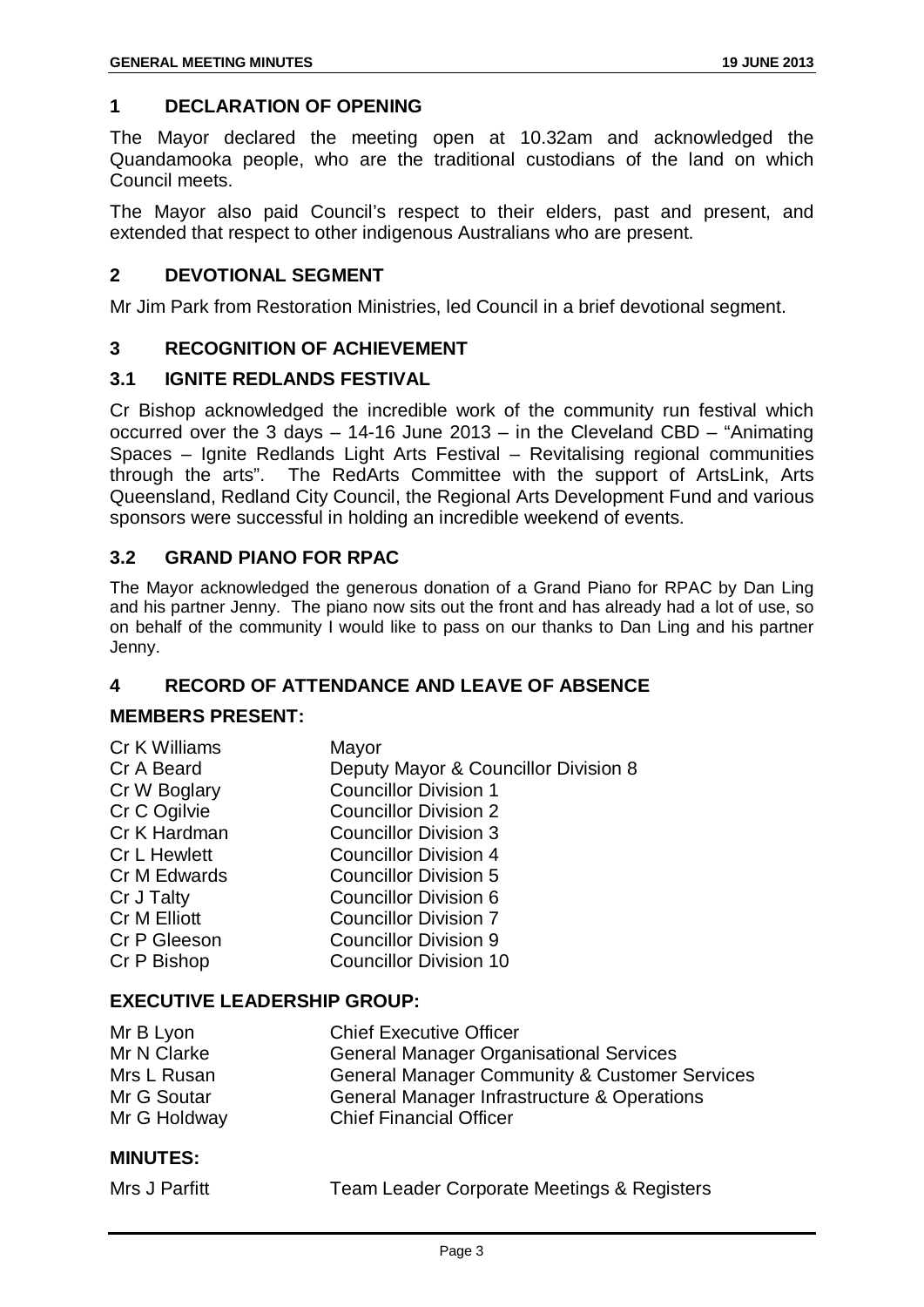#### <span id="page-3-0"></span>**1 DECLARATION OF OPENING**

The Mayor declared the meeting open at 10.32am and acknowledged the Quandamooka people, who are the traditional custodians of the land on which Council meets.

The Mayor also paid Council's respect to their elders, past and present, and extended that respect to other indigenous Australians who are present.

#### <span id="page-3-1"></span>**2 DEVOTIONAL SEGMENT**

Mr Jim Park from Restoration Ministries, led Council in a brief devotional segment.

#### <span id="page-3-2"></span>**3 RECOGNITION OF ACHIEVEMENT**

#### <span id="page-3-3"></span>**3.1 IGNITE REDLANDS FESTIVAL**

Cr Bishop acknowledged the incredible work of the community run festival which occurred over the 3 days – 14-16 June 2013 – in the Cleveland CBD – "Animating Spaces – Ignite Redlands Light Arts Festival – Revitalising regional communities through the arts". The RedArts Committee with the support of ArtsLink, Arts Queensland, Redland City Council, the Regional Arts Development Fund and various sponsors were successful in holding an incredible weekend of events.

#### <span id="page-3-4"></span>**3.2 GRAND PIANO FOR RPAC**

The Mayor acknowledged the generous donation of a Grand Piano for RPAC by Dan Ling and his partner Jenny. The piano now sits out the front and has already had a lot of use, so on behalf of the community I would like to pass on our thanks to Dan Ling and his partner Jenny.

#### <span id="page-3-5"></span>**4 RECORD OF ATTENDANCE AND LEAVE OF ABSENCE**

#### **MEMBERS PRESENT:**

| Mayor                                |
|--------------------------------------|
| Deputy Mayor & Councillor Division 8 |
| <b>Councillor Division 1</b>         |
| <b>Councillor Division 2</b>         |
| <b>Councillor Division 3</b>         |
| <b>Councillor Division 4</b>         |
| <b>Councillor Division 5</b>         |
| <b>Councillor Division 6</b>         |
| <b>Councillor Division 7</b>         |
| <b>Councillor Division 9</b>         |
| <b>Councillor Division 10</b>        |
|                                      |

#### **EXECUTIVE LEADERSHIP GROUP:**

| Mr B Lyon    | <b>Chief Executive Officer</b>                           |
|--------------|----------------------------------------------------------|
| Mr N Clarke  | <b>General Manager Organisational Services</b>           |
| Mrs L Rusan  | <b>General Manager Community &amp; Customer Services</b> |
| Mr G Soutar  | General Manager Infrastructure & Operations              |
| Mr G Holdway | <b>Chief Financial Officer</b>                           |

#### **MINUTES:**

| Mrs J Parfitt | <b>Team Leader Corporate Meetings &amp; Registers</b> |  |
|---------------|-------------------------------------------------------|--|
|               |                                                       |  |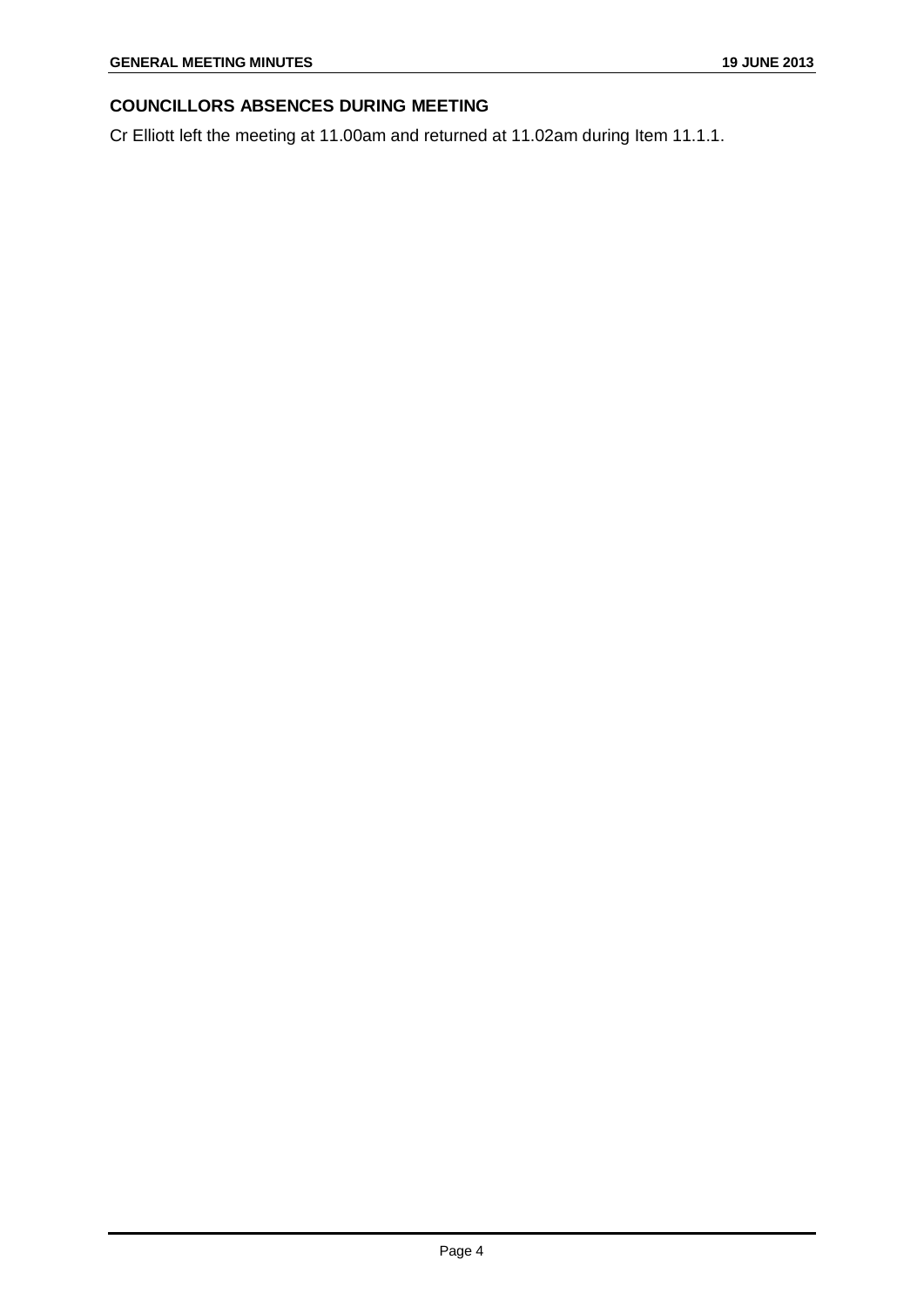#### **COUNCILLORS ABSENCES DURING MEETING**

Cr Elliott left the meeting at 11.00am and returned at 11.02am during Item 11.1.1.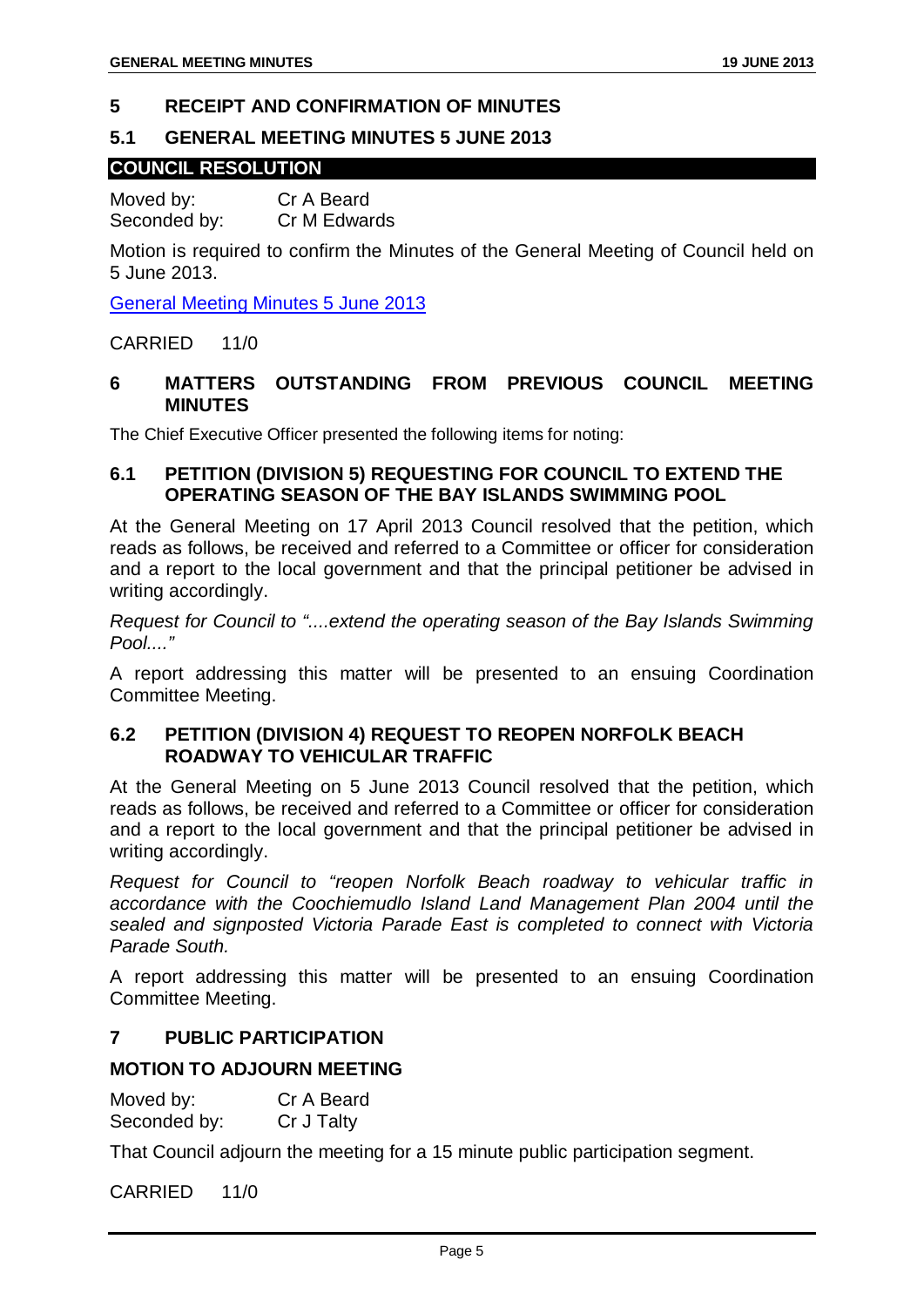#### <span id="page-5-0"></span>**5 RECEIPT AND CONFIRMATION OF MINUTES**

#### <span id="page-5-1"></span>**5.1 GENERAL MEETING MINUTES 5 JUNE 2013**

#### **COUNCIL RESOLUTION**

Moved by: Cr A Beard Seconded by: Cr M Edwards

Motion is required to confirm the Minutes of the General Meeting of Council held on 5 June 2013.

General Meeting Minutes 5 June 2013

#### CARRIED 11/0

#### <span id="page-5-2"></span>**6 MATTERS OUTSTANDING FROM PREVIOUS COUNCIL MEETING MINUTES**

The Chief Executive Officer presented the following items for noting:

#### <span id="page-5-3"></span>**6.1 PETITION (DIVISION 5) REQUESTING FOR COUNCIL TO EXTEND THE OPERATING SEASON OF THE BAY ISLANDS SWIMMING POOL**

At the General Meeting on 17 April 2013 Council resolved that the petition, which reads as follows, be received and referred to a Committee or officer for consideration and a report to the local government and that the principal petitioner be advised in writing accordingly.

*Request for Council to "....extend the operating season of the Bay Islands Swimming Pool...."*

A report addressing this matter will be presented to an ensuing Coordination Committee Meeting.

#### <span id="page-5-4"></span>**6.2 PETITION (DIVISION 4) REQUEST TO REOPEN NORFOLK BEACH ROADWAY TO VEHICULAR TRAFFIC**

At the General Meeting on 5 June 2013 Council resolved that the petition, which reads as follows, be received and referred to a Committee or officer for consideration and a report to the local government and that the principal petitioner be advised in writing accordingly.

*Request for Council to "reopen Norfolk Beach roadway to vehicular traffic in accordance with the Coochiemudlo Island Land Management Plan 2004 until the sealed and signposted Victoria Parade East is completed to connect with Victoria Parade South.*

A report addressing this matter will be presented to an ensuing Coordination Committee Meeting.

#### <span id="page-5-5"></span>**7 PUBLIC PARTICIPATION**

#### **MOTION TO ADJOURN MEETING**

| Moved by:    | Cr A Beard |
|--------------|------------|
| Seconded by: | Cr J Talty |

That Council adjourn the meeting for a 15 minute public participation segment.

CARRIED 11/0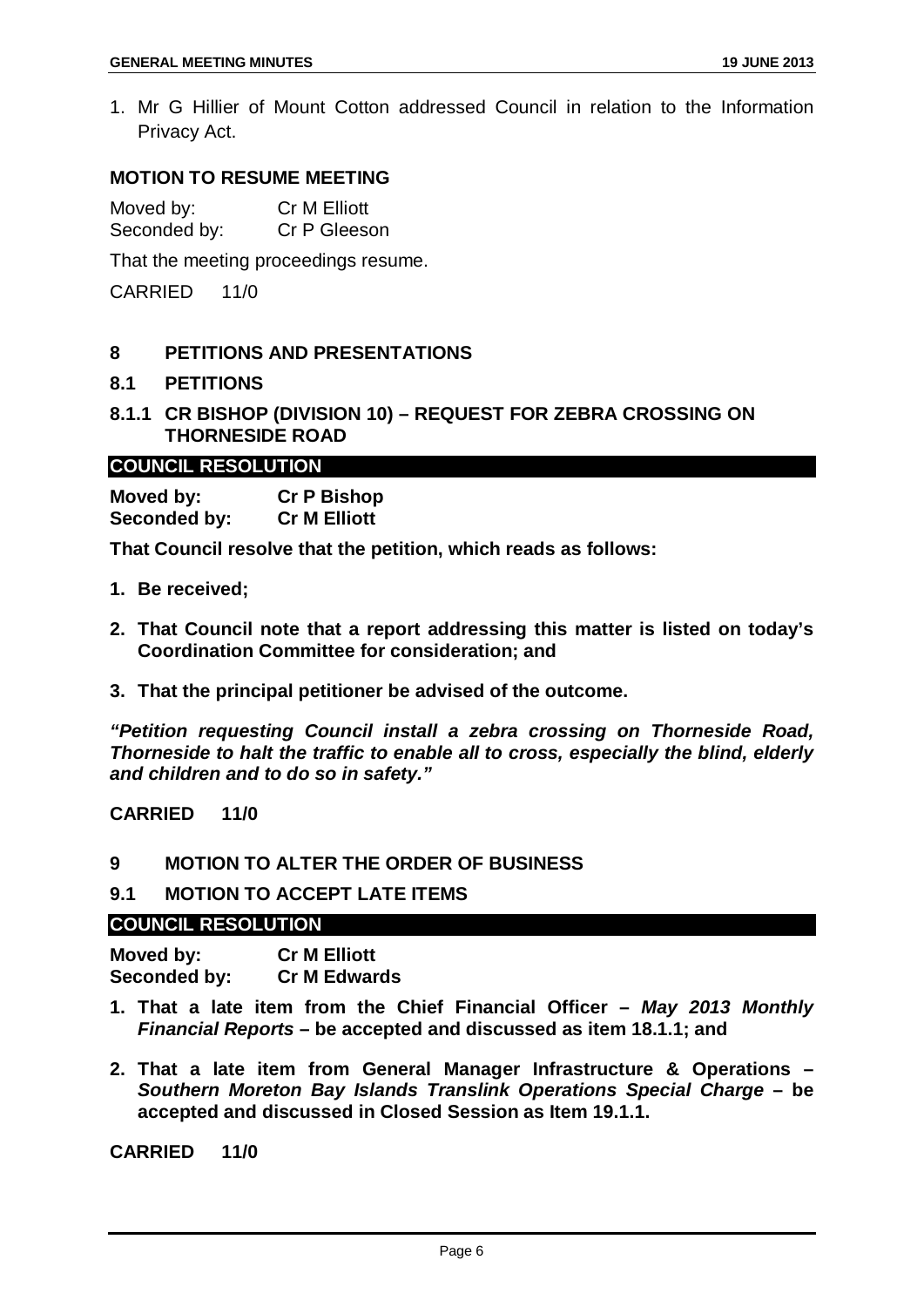1. Mr G Hillier of Mount Cotton addressed Council in relation to the Information Privacy Act.

#### **MOTION TO RESUME MEETING**

Moved by: Cr M Elliott<br>Seconded by: Cr P Gleeson Seconded by:

That the meeting proceedings resume.

CARRIED 11/0

#### <span id="page-6-0"></span>**8 PETITIONS AND PRESENTATIONS**

#### <span id="page-6-1"></span>**8.1 PETITIONS**

#### <span id="page-6-2"></span>**8.1.1 CR BISHOP (DIVISION 10) – REQUEST FOR ZEBRA CROSSING ON THORNESIDE ROAD**

#### **COUNCIL RESOLUTION**

**Moved by: Cr P Bishop Seconded by: Cr M Elliott**

**That Council resolve that the petition, which reads as follows:**

- **1. Be received;**
- **2. That Council note that a report addressing this matter is listed on today's Coordination Committee for consideration; and**
- **3. That the principal petitioner be advised of the outcome.**

*"Petition requesting Council install a zebra crossing on Thorneside Road, Thorneside to halt the traffic to enable all to cross, especially the blind, elderly and children and to do so in safety."*

#### **CARRIED 11/0**

#### <span id="page-6-3"></span>**9 MOTION TO ALTER THE ORDER OF BUSINESS**

#### <span id="page-6-4"></span>**9.1 MOTION TO ACCEPT LATE ITEMS**

#### **COUNCIL RESOLUTION**

| Moved by:    | <b>Cr M Elliott</b> |
|--------------|---------------------|
| Seconded by: | <b>Cr M Edwards</b> |

- **1. That a late item from the Chief Financial Officer –** *May 2013 Monthly Financial Reports* **– be accepted and discussed as item 18.1.1; and**
- **2. That a late item from General Manager Infrastructure & Operations –** *Southern Moreton Bay Islands Translink Operations Special Charge* **– be accepted and discussed in Closed Session as Item 19.1.1.**

**CARRIED 11/0**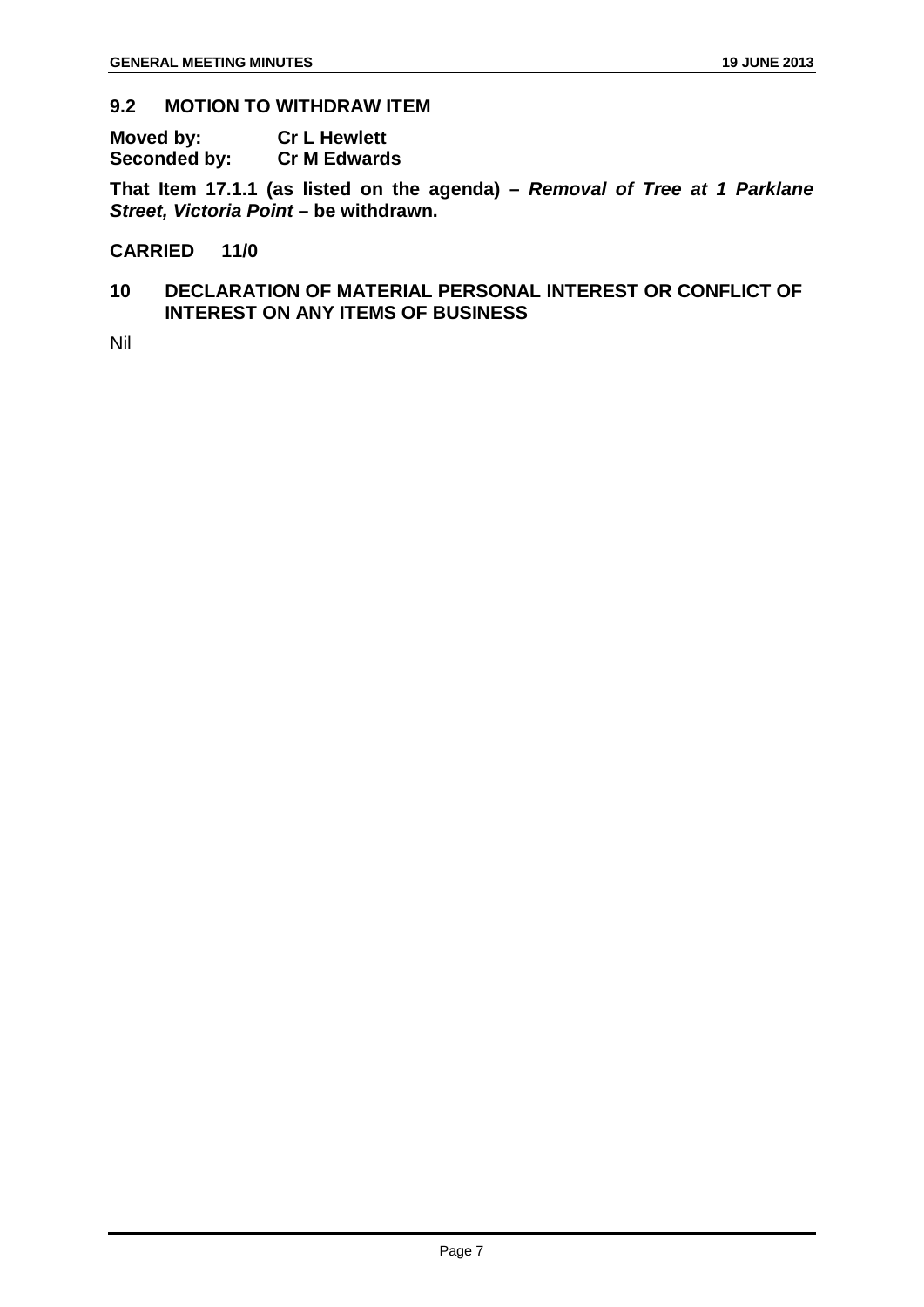#### <span id="page-7-0"></span>**9.2 MOTION TO WITHDRAW ITEM**

| Moved by:    | <b>Cr L Hewlett</b> |
|--------------|---------------------|
| Seconded by: | <b>Cr M Edwards</b> |

**That Item 17.1.1 (as listed on the agenda) –** *Removal of Tree at 1 Parklane Street, Victoria Point* **– be withdrawn.**

#### **CARRIED 11/0**

#### <span id="page-7-1"></span>**10 DECLARATION OF MATERIAL PERSONAL INTEREST OR CONFLICT OF INTEREST ON ANY ITEMS OF BUSINESS**

Nil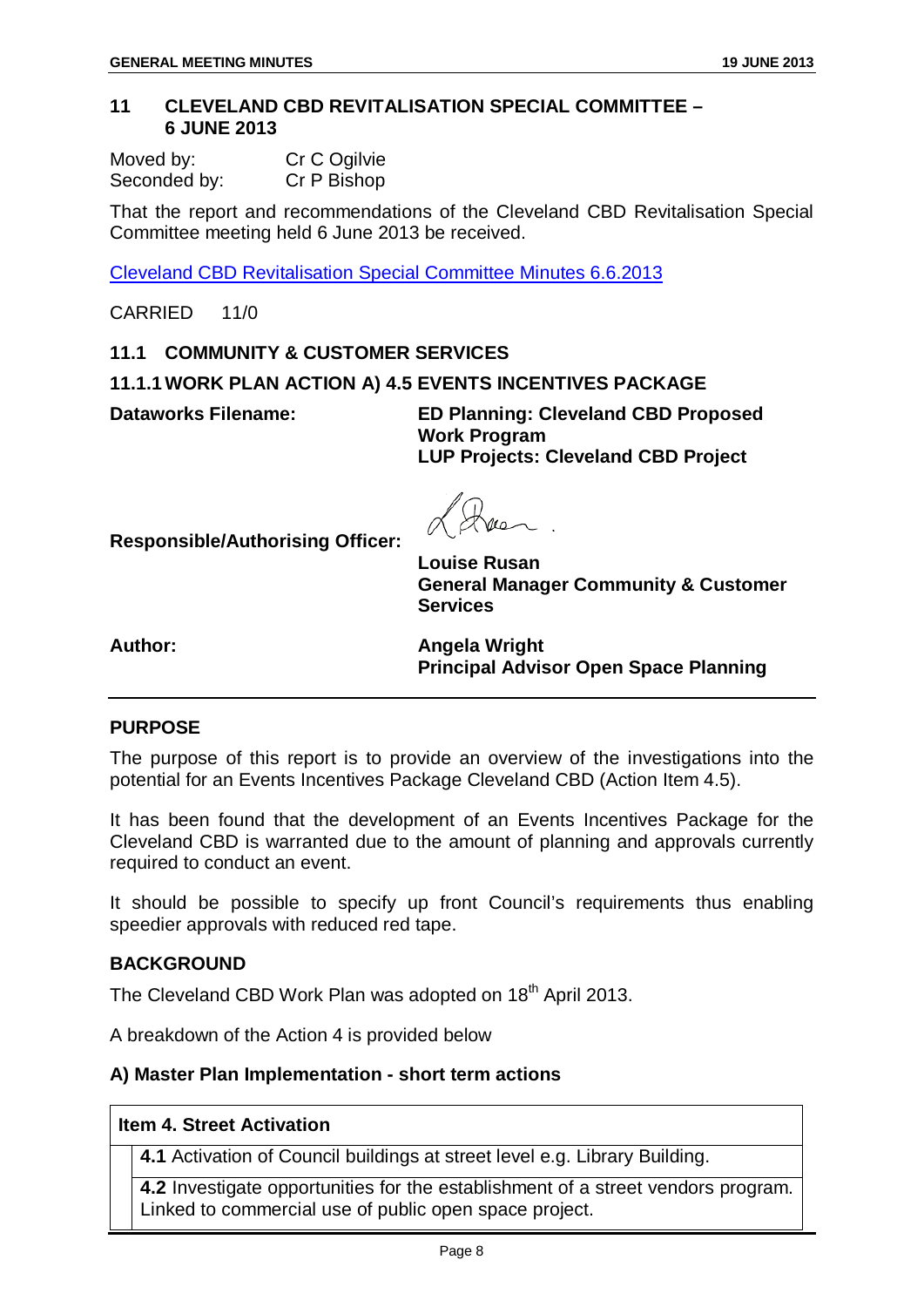<span id="page-8-0"></span>

| Moved by:    | Cr C Ogilvie |
|--------------|--------------|
| Seconded by: | Cr P Bishop  |

That the report and recommendations of the Cleveland CBD Revitalisation Special Committee meeting held 6 June 2013 be received.

Cleveland CBD Revitalisation Special Committee Minutes 6.6.2013

CARRIED 11/0

#### <span id="page-8-1"></span>**11.1 COMMUNITY & CUSTOMER SERVICES**

#### <span id="page-8-2"></span>**11.1.1 WORK PLAN ACTION A) 4.5 EVENTS INCENTIVES PACKAGE**

**Dataworks Filename: ED Planning: Cleveland CBD Proposed Work Program LUP Projects: Cleveland CBD Project**

**Responsible/Authorising Officer:**

**Louise Rusan General Manager Community & Customer Services**

**Author: Angela Wright Principal Advisor Open Space Planning**

#### **PURPOSE**

The purpose of this report is to provide an overview of the investigations into the potential for an Events Incentives Package Cleveland CBD (Action Item 4.5).

It has been found that the development of an Events Incentives Package for the Cleveland CBD is warranted due to the amount of planning and approvals currently required to conduct an event.

It should be possible to specify up front Council's requirements thus enabling speedier approvals with reduced red tape.

#### **BACKGROUND**

The Cleveland CBD Work Plan was adopted on 18<sup>th</sup> April 2013.

A breakdown of the Action 4 is provided below

#### **A) Master Plan Implementation - short term actions**

#### **Item 4. Street Activation**

**4.1** Activation of Council buildings at street level e.g. Library Building.

**4.2** Investigate opportunities for the establishment of a street vendors program. Linked to commercial use of public open space project.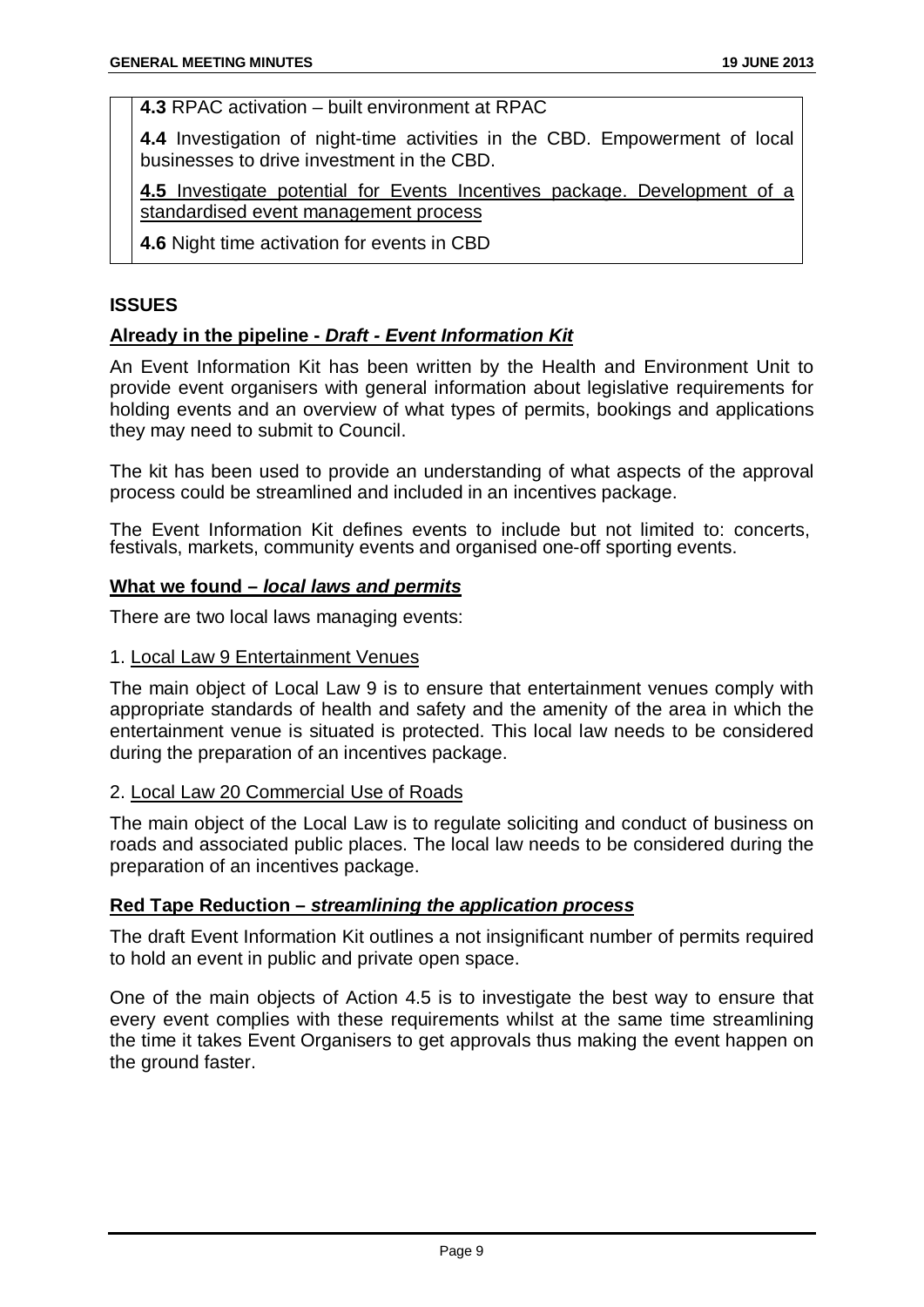**4.3** RPAC activation – built environment at RPAC

**4.4** Investigation of night-time activities in the CBD. Empowerment of local businesses to drive investment in the CBD.

**4.5** Investigate potential for Events Incentives package. Development of a standardised event management process

**4.6** Night time activation for events in CBD

#### **ISSUES**

#### **Already in the pipeline -** *Draft - Event Information Kit*

An Event Information Kit has been written by the Health and Environment Unit to provide event organisers with general information about legislative requirements for holding events and an overview of what types of permits, bookings and applications they may need to submit to Council.

The kit has been used to provide an understanding of what aspects of the approval process could be streamlined and included in an incentives package.

The Event Information Kit defines events to include but not limited to: concerts, festivals, markets, community events and organised one-off sporting events.

#### **What we found –** *local laws and permits*

There are two local laws managing events:

#### 1. Local Law 9 Entertainment Venues

The main object of Local Law 9 is to ensure that entertainment venues comply with appropriate standards of health and safety and the amenity of the area in which the entertainment venue is situated is protected. This local law needs to be considered during the preparation of an incentives package.

#### 2. Local Law 20 Commercial Use of Roads

The main object of the Local Law is to regulate soliciting and conduct of business on roads and associated public places. The local law needs to be considered during the preparation of an incentives package.

#### **Red Tape Reduction –** *streamlining the application process*

The draft Event Information Kit outlines a not insignificant number of permits required to hold an event in public and private open space.

One of the main objects of Action 4.5 is to investigate the best way to ensure that every event complies with these requirements whilst at the same time streamlining the time it takes Event Organisers to get approvals thus making the event happen on the ground faster.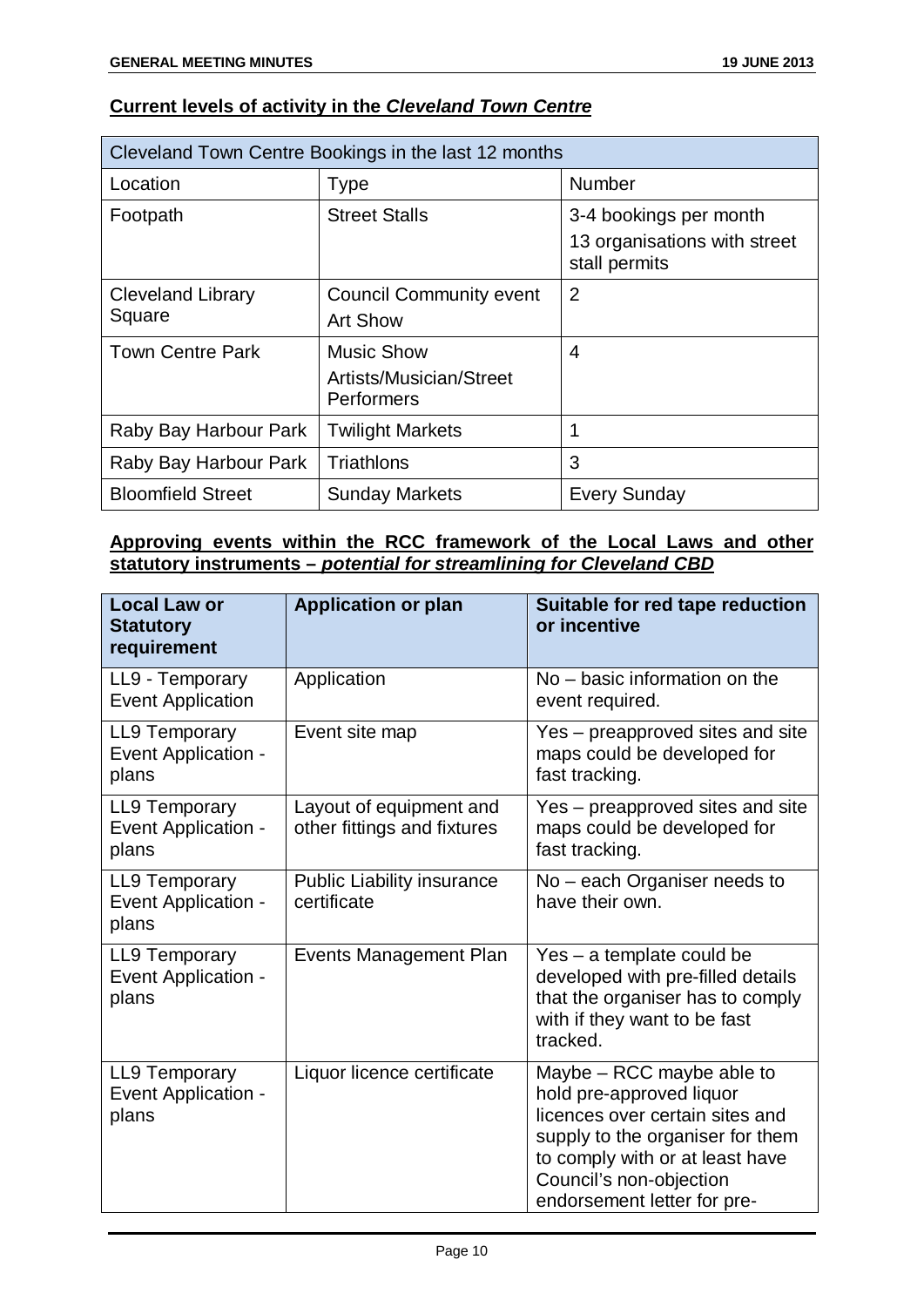#### **Current levels of activity in the** *Cleveland Town Centre*

| Cleveland Town Centre Bookings in the last 12 months |                                                            |                                                                         |  |
|------------------------------------------------------|------------------------------------------------------------|-------------------------------------------------------------------------|--|
| Location                                             | <b>Type</b>                                                | <b>Number</b>                                                           |  |
| Footpath                                             | <b>Street Stalls</b>                                       | 3-4 bookings per month<br>13 organisations with street<br>stall permits |  |
| <b>Cleveland Library</b><br>Square                   | <b>Council Community event</b><br><b>Art Show</b>          | $\overline{2}$                                                          |  |
| <b>Town Centre Park</b>                              | <b>Music Show</b><br>Artists/Musician/Street<br>Performers | 4                                                                       |  |
| Raby Bay Harbour Park                                | <b>Twilight Markets</b>                                    |                                                                         |  |
| Raby Bay Harbour Park                                | Triathlons                                                 | 3                                                                       |  |
| <b>Bloomfield Street</b>                             | <b>Sunday Markets</b>                                      | <b>Every Sunday</b>                                                     |  |

#### **Approving events within the RCC framework of the Local Laws and other statutory instruments –** *potential for streamlining for Cleveland CBD*

| <b>Local Law or</b><br><b>Statutory</b><br>requirement      | <b>Application or plan</b>                             | Suitable for red tape reduction<br>or incentive                                                                                                                                                                           |
|-------------------------------------------------------------|--------------------------------------------------------|---------------------------------------------------------------------------------------------------------------------------------------------------------------------------------------------------------------------------|
| LL9 - Temporary<br><b>Event Application</b>                 | Application                                            | No – basic information on the<br>event required.                                                                                                                                                                          |
| <b>LL9 Temporary</b><br>Event Application -<br>plans        | Event site map                                         | Yes – preapproved sites and site<br>maps could be developed for<br>fast tracking.                                                                                                                                         |
| <b>LL9 Temporary</b><br><b>Event Application -</b><br>plans | Layout of equipment and<br>other fittings and fixtures | Yes – preapproved sites and site<br>maps could be developed for<br>fast tracking.                                                                                                                                         |
| <b>LL9 Temporary</b><br><b>Event Application -</b><br>plans | <b>Public Liability insurance</b><br>certificate       | No – each Organiser needs to<br>have their own.                                                                                                                                                                           |
| <b>LL9 Temporary</b><br>Event Application -<br>plans        | Events Management Plan                                 | Yes - a template could be<br>developed with pre-filled details<br>that the organiser has to comply<br>with if they want to be fast<br>tracked.                                                                            |
| <b>LL9 Temporary</b><br><b>Event Application -</b><br>plans | Liquor licence certificate                             | Maybe - RCC maybe able to<br>hold pre-approved liquor<br>licences over certain sites and<br>supply to the organiser for them<br>to comply with or at least have<br>Council's non-objection<br>endorsement letter for pre- |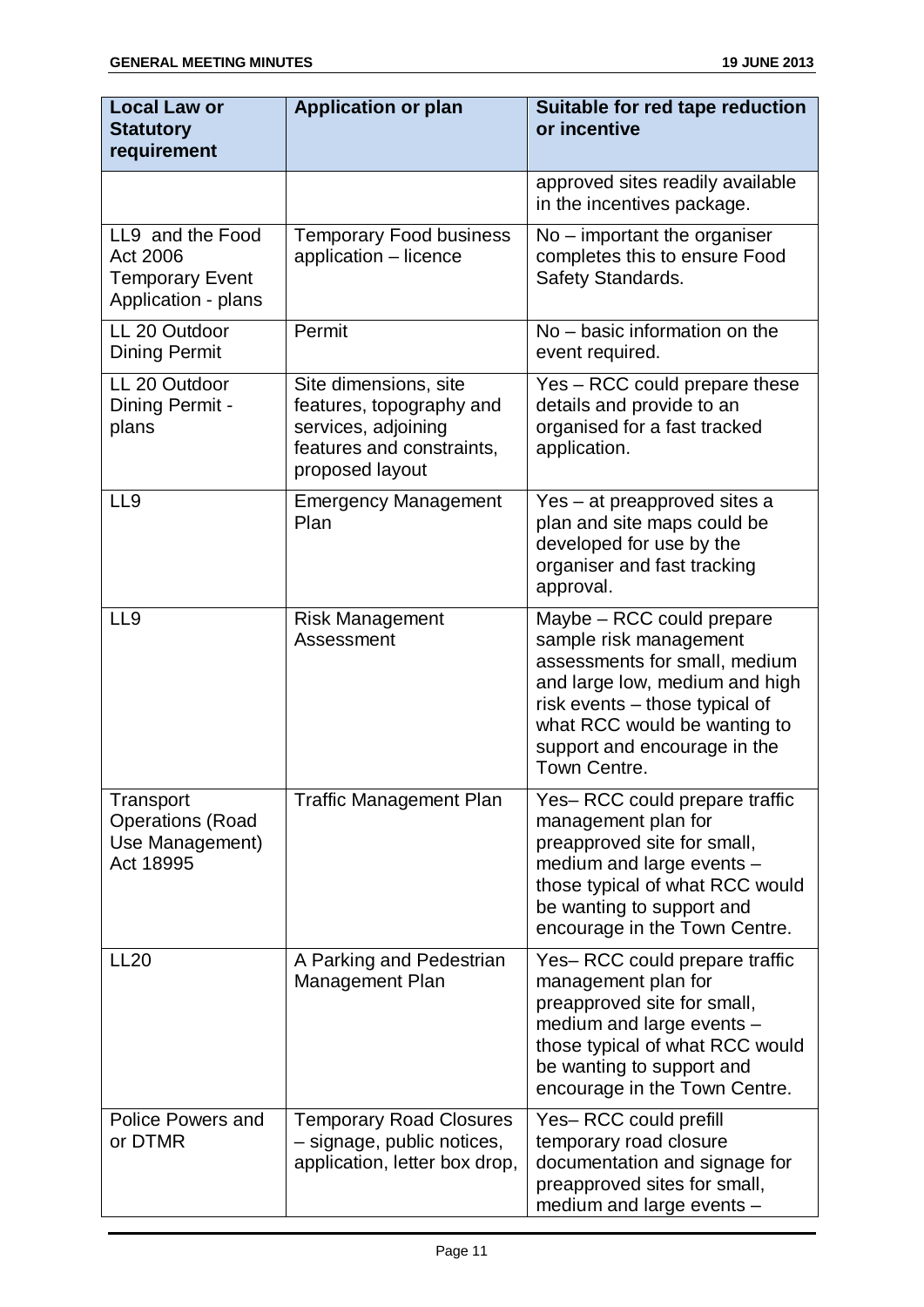| <b>Local Law or</b><br><b>Statutory</b><br>requirement                        | <b>Application or plan</b>                                                                                               | Suitable for red tape reduction<br>or incentive                                                                                                                                                                                          |
|-------------------------------------------------------------------------------|--------------------------------------------------------------------------------------------------------------------------|------------------------------------------------------------------------------------------------------------------------------------------------------------------------------------------------------------------------------------------|
|                                                                               |                                                                                                                          | approved sites readily available<br>in the incentives package.                                                                                                                                                                           |
| LL9 and the Food<br>Act 2006<br><b>Temporary Event</b><br>Application - plans | <b>Temporary Food business</b><br>application - licence                                                                  | $No$ – important the organiser<br>completes this to ensure Food<br>Safety Standards.                                                                                                                                                     |
| LL 20 Outdoor<br><b>Dining Permit</b>                                         | Permit                                                                                                                   | $No - basic information on the$<br>event required.                                                                                                                                                                                       |
| LL 20 Outdoor<br>Dining Permit -<br>plans                                     | Site dimensions, site<br>features, topography and<br>services, adjoining<br>features and constraints,<br>proposed layout | Yes – RCC could prepare these<br>details and provide to an<br>organised for a fast tracked<br>application.                                                                                                                               |
| LL9                                                                           | <b>Emergency Management</b><br>Plan                                                                                      | Yes – at preapproved sites a<br>plan and site maps could be<br>developed for use by the<br>organiser and fast tracking<br>approval.                                                                                                      |
| LL <sub>9</sub>                                                               | <b>Risk Management</b><br>Assessment                                                                                     | Maybe - RCC could prepare<br>sample risk management<br>assessments for small, medium<br>and large low, medium and high<br>risk events - those typical of<br>what RCC would be wanting to<br>support and encourage in the<br>Town Centre. |
| Transport<br><b>Operations (Road</b><br>Use Management)<br>Act 18995          | <b>Traffic Management Plan</b>                                                                                           | Yes-RCC could prepare traffic<br>management plan for<br>preapproved site for small,<br>medium and large events -<br>those typical of what RCC would<br>be wanting to support and<br>encourage in the Town Centre.                        |
| <b>LL20</b>                                                                   | A Parking and Pedestrian<br><b>Management Plan</b>                                                                       | Yes-RCC could prepare traffic<br>management plan for<br>preapproved site for small,<br>medium and large events -<br>those typical of what RCC would<br>be wanting to support and<br>encourage in the Town Centre.                        |
| <b>Police Powers and</b><br>or DTMR                                           | <b>Temporary Road Closures</b><br>- signage, public notices,<br>application, letter box drop,                            | Yes-RCC could prefill<br>temporary road closure<br>documentation and signage for<br>preapproved sites for small,<br>medium and large events -                                                                                            |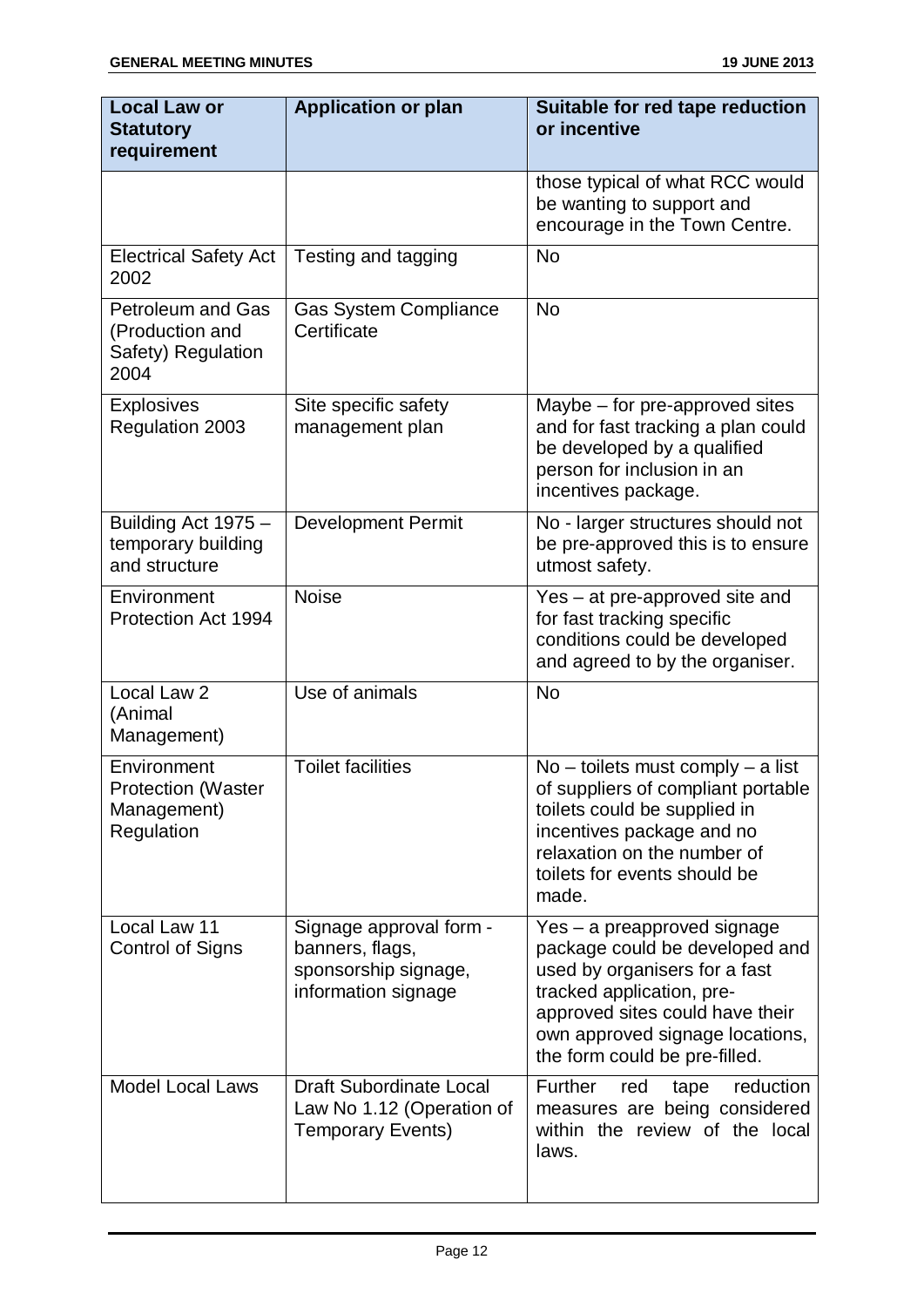| <b>Local Law or</b><br><b>Statutory</b><br>requirement                    | <b>Application or plan</b>                                                                | Suitable for red tape reduction<br>or incentive                                                                                                                                                                                    |
|---------------------------------------------------------------------------|-------------------------------------------------------------------------------------------|------------------------------------------------------------------------------------------------------------------------------------------------------------------------------------------------------------------------------------|
|                                                                           |                                                                                           | those typical of what RCC would<br>be wanting to support and<br>encourage in the Town Centre.                                                                                                                                      |
| <b>Electrical Safety Act</b><br>2002                                      | Testing and tagging                                                                       | <b>No</b>                                                                                                                                                                                                                          |
| <b>Petroleum and Gas</b><br>(Production and<br>Safety) Regulation<br>2004 | <b>Gas System Compliance</b><br>Certificate                                               | <b>No</b>                                                                                                                                                                                                                          |
| <b>Explosives</b><br><b>Regulation 2003</b>                               | Site specific safety<br>management plan                                                   | Maybe – for pre-approved sites<br>and for fast tracking a plan could<br>be developed by a qualified<br>person for inclusion in an<br>incentives package.                                                                           |
| Building Act 1975 -<br>temporary building<br>and structure                | <b>Development Permit</b>                                                                 | No - larger structures should not<br>be pre-approved this is to ensure<br>utmost safety.                                                                                                                                           |
| Environment<br>Protection Act 1994                                        | <b>Noise</b>                                                                              | Yes – at pre-approved site and<br>for fast tracking specific<br>conditions could be developed<br>and agreed to by the organiser.                                                                                                   |
| Local Law 2<br>(Animal<br>Management)                                     | Use of animals                                                                            | <b>No</b>                                                                                                                                                                                                                          |
| Environment<br><b>Protection (Waster</b><br>Management)<br>Regulation     | <b>Toilet facilities</b>                                                                  | $No -$ toilets must comply $- a$ list<br>of suppliers of compliant portable<br>toilets could be supplied in<br>incentives package and no<br>relaxation on the number of<br>toilets for events should be<br>made.                   |
| Local Law 11<br><b>Control of Signs</b>                                   | Signage approval form -<br>banners, flags,<br>sponsorship signage,<br>information signage | Yes - a preapproved signage<br>package could be developed and<br>used by organisers for a fast<br>tracked application, pre-<br>approved sites could have their<br>own approved signage locations,<br>the form could be pre-filled. |
| <b>Model Local Laws</b>                                                   | <b>Draft Subordinate Local</b><br>Law No 1.12 (Operation of<br><b>Temporary Events)</b>   | Further<br>reduction<br>red<br>tape<br>measures are being considered<br>within the review of the local<br>laws.                                                                                                                    |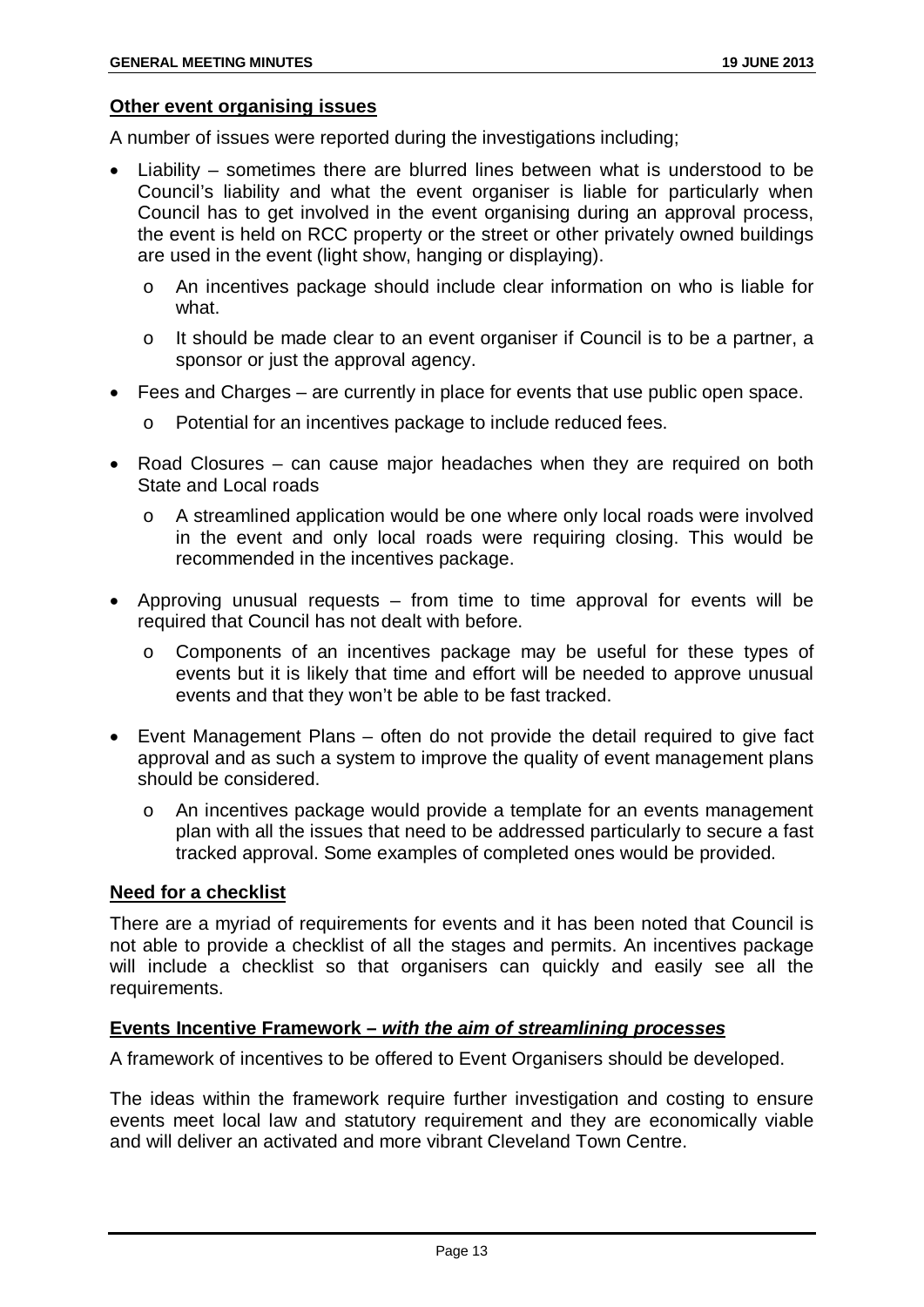#### **Other event organising issues**

A number of issues were reported during the investigations including;

- Liability sometimes there are blurred lines between what is understood to be Council's liability and what the event organiser is liable for particularly when Council has to get involved in the event organising during an approval process, the event is held on RCC property or the street or other privately owned buildings are used in the event (light show, hanging or displaying).
	- o An incentives package should include clear information on who is liable for what.
	- o It should be made clear to an event organiser if Council is to be a partner, a sponsor or just the approval agency.
- Fees and Charges are currently in place for events that use public open space.
	- o Potential for an incentives package to include reduced fees.
- Road Closures can cause major headaches when they are required on both State and Local roads
	- o A streamlined application would be one where only local roads were involved in the event and only local roads were requiring closing. This would be recommended in the incentives package.
- Approving unusual requests from time to time approval for events will be required that Council has not dealt with before.
	- o Components of an incentives package may be useful for these types of events but it is likely that time and effort will be needed to approve unusual events and that they won't be able to be fast tracked.
- Event Management Plans often do not provide the detail required to give fact approval and as such a system to improve the quality of event management plans should be considered.
	- o An incentives package would provide a template for an events management plan with all the issues that need to be addressed particularly to secure a fast tracked approval. Some examples of completed ones would be provided.

#### **Need for a checklist**

There are a myriad of requirements for events and it has been noted that Council is not able to provide a checklist of all the stages and permits. An incentives package will include a checklist so that organisers can quickly and easily see all the requirements.

#### **Events Incentive Framework –** *with the aim of streamlining processes*

A framework of incentives to be offered to Event Organisers should be developed.

The ideas within the framework require further investigation and costing to ensure events meet local law and statutory requirement and they are economically viable and will deliver an activated and more vibrant Cleveland Town Centre.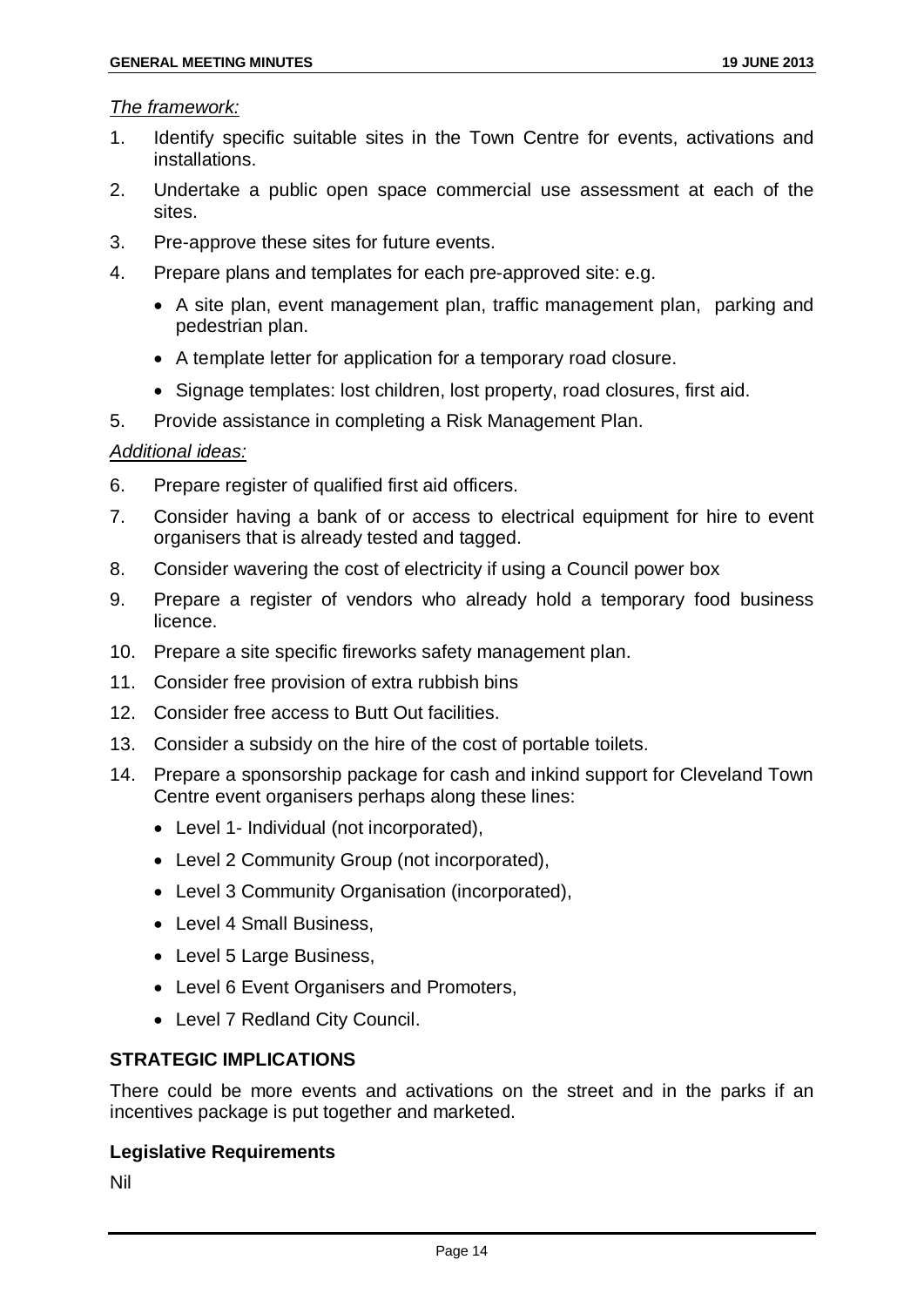#### *The framework:*

- 1. Identify specific suitable sites in the Town Centre for events, activations and installations.
- 2. Undertake a public open space commercial use assessment at each of the sites.
- 3. Pre-approve these sites for future events.
- 4. Prepare plans and templates for each pre-approved site: e.g.
	- A site plan, event management plan, traffic management plan, parking and pedestrian plan.
	- A template letter for application for a temporary road closure.
	- Signage templates: lost children, lost property, road closures, first aid.
- 5. Provide assistance in completing a Risk Management Plan.

#### *Additional ideas:*

- 6. Prepare register of qualified first aid officers.
- 7. Consider having a bank of or access to electrical equipment for hire to event organisers that is already tested and tagged.
- 8. Consider wavering the cost of electricity if using a Council power box
- 9. Prepare a register of vendors who already hold a temporary food business licence.
- 10. Prepare a site specific fireworks safety management plan.
- 11. Consider free provision of extra rubbish bins
- 12. Consider free access to Butt Out facilities.
- 13. Consider a subsidy on the hire of the cost of portable toilets.
- 14. Prepare a sponsorship package for cash and inkind support for Cleveland Town Centre event organisers perhaps along these lines:
	- Level 1- Individual (not incorporated),
	- Level 2 Community Group (not incorporated),
	- Level 3 Community Organisation (incorporated),
	- Level 4 Small Business,
	- Level 5 Large Business,
	- Level 6 Event Organisers and Promoters,
	- Level 7 Redland City Council.

#### **STRATEGIC IMPLICATIONS**

There could be more events and activations on the street and in the parks if an incentives package is put together and marketed.

#### **Legislative Requirements**

Nil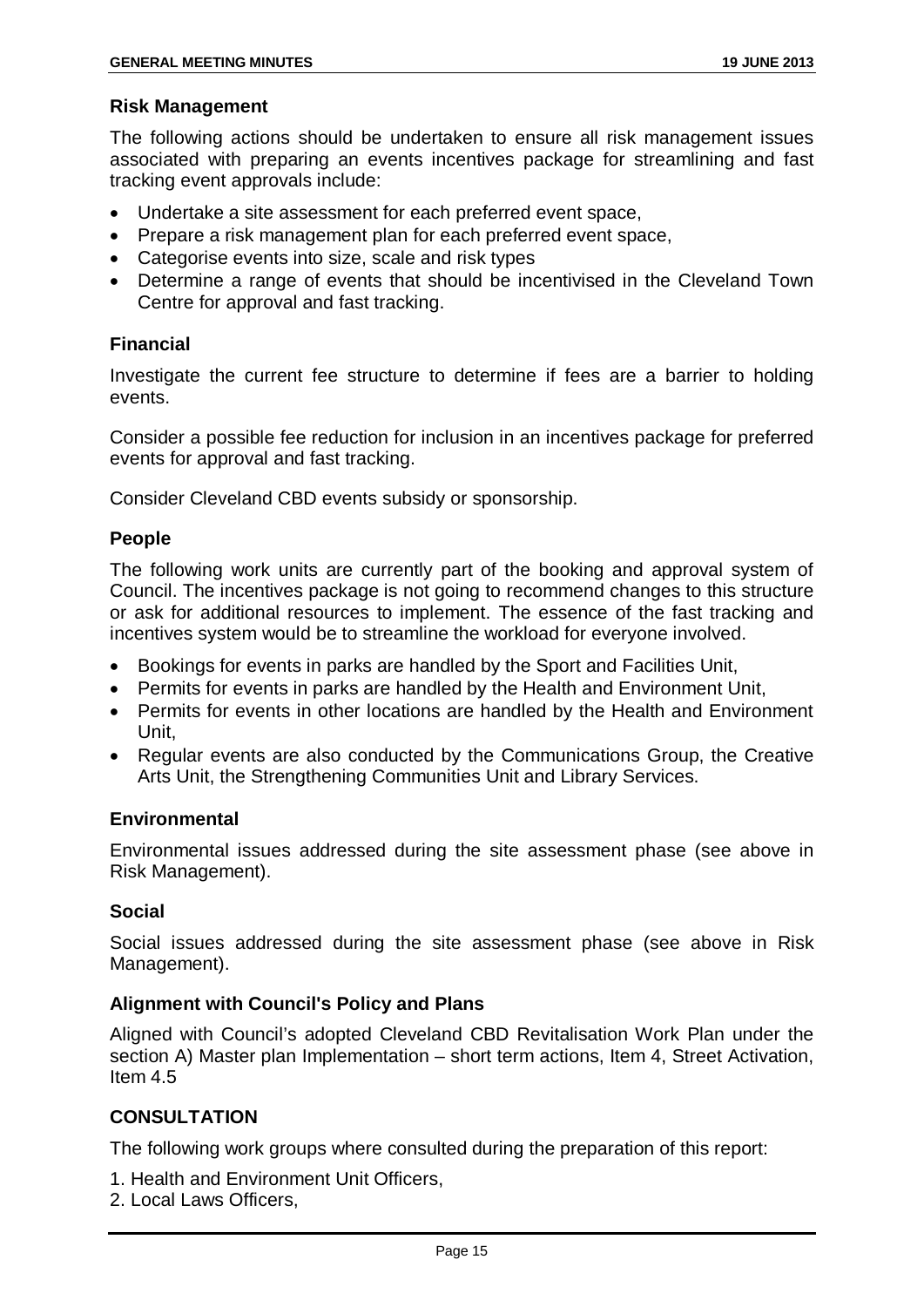#### **Risk Management**

The following actions should be undertaken to ensure all risk management issues associated with preparing an events incentives package for streamlining and fast tracking event approvals include:

- Undertake a site assessment for each preferred event space,
- Prepare a risk management plan for each preferred event space,
- Categorise events into size, scale and risk types
- Determine a range of events that should be incentivised in the Cleveland Town Centre for approval and fast tracking.

#### **Financial**

Investigate the current fee structure to determine if fees are a barrier to holding events.

Consider a possible fee reduction for inclusion in an incentives package for preferred events for approval and fast tracking.

Consider Cleveland CBD events subsidy or sponsorship.

#### **People**

The following work units are currently part of the booking and approval system of Council. The incentives package is not going to recommend changes to this structure or ask for additional resources to implement. The essence of the fast tracking and incentives system would be to streamline the workload for everyone involved.

- Bookings for events in parks are handled by the Sport and Facilities Unit,
- Permits for events in parks are handled by the Health and Environment Unit,
- Permits for events in other locations are handled by the Health and Environment Unit,
- Regular events are also conducted by the Communications Group, the Creative Arts Unit, the Strengthening Communities Unit and Library Services.

#### **Environmental**

Environmental issues addressed during the site assessment phase (see above in Risk Management).

#### **Social**

Social issues addressed during the site assessment phase (see above in Risk Management).

#### **Alignment with Council's Policy and Plans**

Aligned with Council's adopted Cleveland CBD Revitalisation Work Plan under the section A) Master plan Implementation – short term actions, Item 4, Street Activation, Item 4.5

#### **CONSULTATION**

The following work groups where consulted during the preparation of this report:

- 1. Health and Environment Unit Officers,
- 2. Local Laws Officers,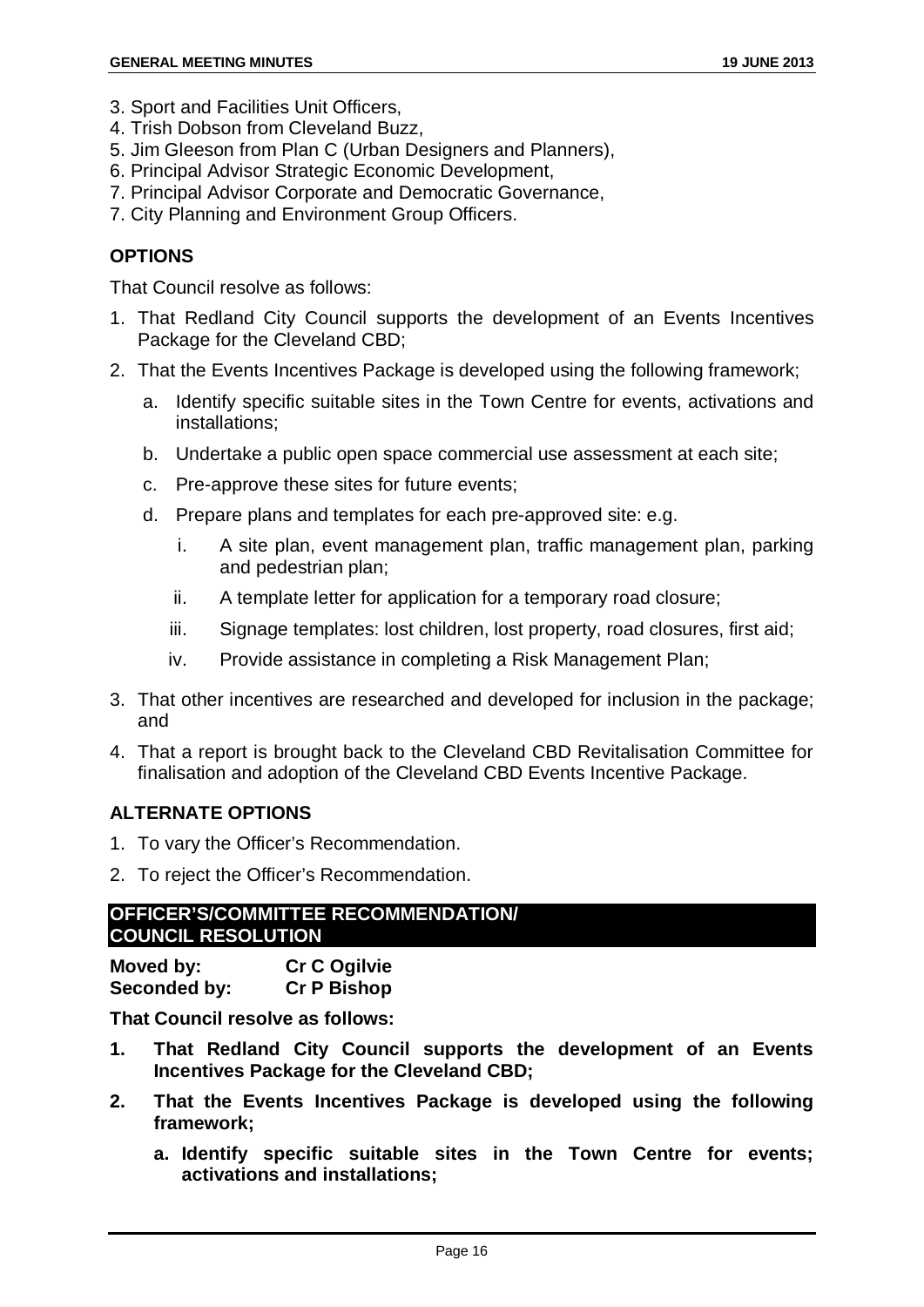- 3. Sport and Facilities Unit Officers,
- 4. Trish Dobson from Cleveland Buzz,
- 5. Jim Gleeson from Plan C (Urban Designers and Planners),
- 6. Principal Advisor Strategic Economic Development,
- 7. Principal Advisor Corporate and Democratic Governance,
- 7. City Planning and Environment Group Officers.

#### **OPTIONS**

That Council resolve as follows:

- 1. That Redland City Council supports the development of an Events Incentives Package for the Cleveland CBD;
- 2. That the Events Incentives Package is developed using the following framework;
	- a. Identify specific suitable sites in the Town Centre for events, activations and installations;
	- b. Undertake a public open space commercial use assessment at each site;
	- c. Pre-approve these sites for future events;
	- d. Prepare plans and templates for each pre-approved site: e.g.
		- i. A site plan, event management plan, traffic management plan, parking and pedestrian plan;
		- ii. A template letter for application for a temporary road closure;
		- iii. Signage templates: lost children, lost property, road closures, first aid;
		- iv. Provide assistance in completing a Risk Management Plan;
- 3. That other incentives are researched and developed for inclusion in the package; and
- 4. That a report is brought back to the Cleveland CBD Revitalisation Committee for finalisation and adoption of the Cleveland CBD Events Incentive Package.

#### **ALTERNATE OPTIONS**

- 1. To vary the Officer's Recommendation.
- 2. To reject the Officer's Recommendation.

#### **OFFICER'S/COMMITTEE RECOMMENDATION/ COUNCIL RESOLUTION**

| Moved by:    | <b>Cr C Ogilvie</b> |
|--------------|---------------------|
| Seconded by: | <b>Cr P Bishop</b>  |

**That Council resolve as follows:**

- **1. That Redland City Council supports the development of an Events Incentives Package for the Cleveland CBD;**
- **2. That the Events Incentives Package is developed using the following framework;**
	- **a. Identify specific suitable sites in the Town Centre for events; activations and installations;**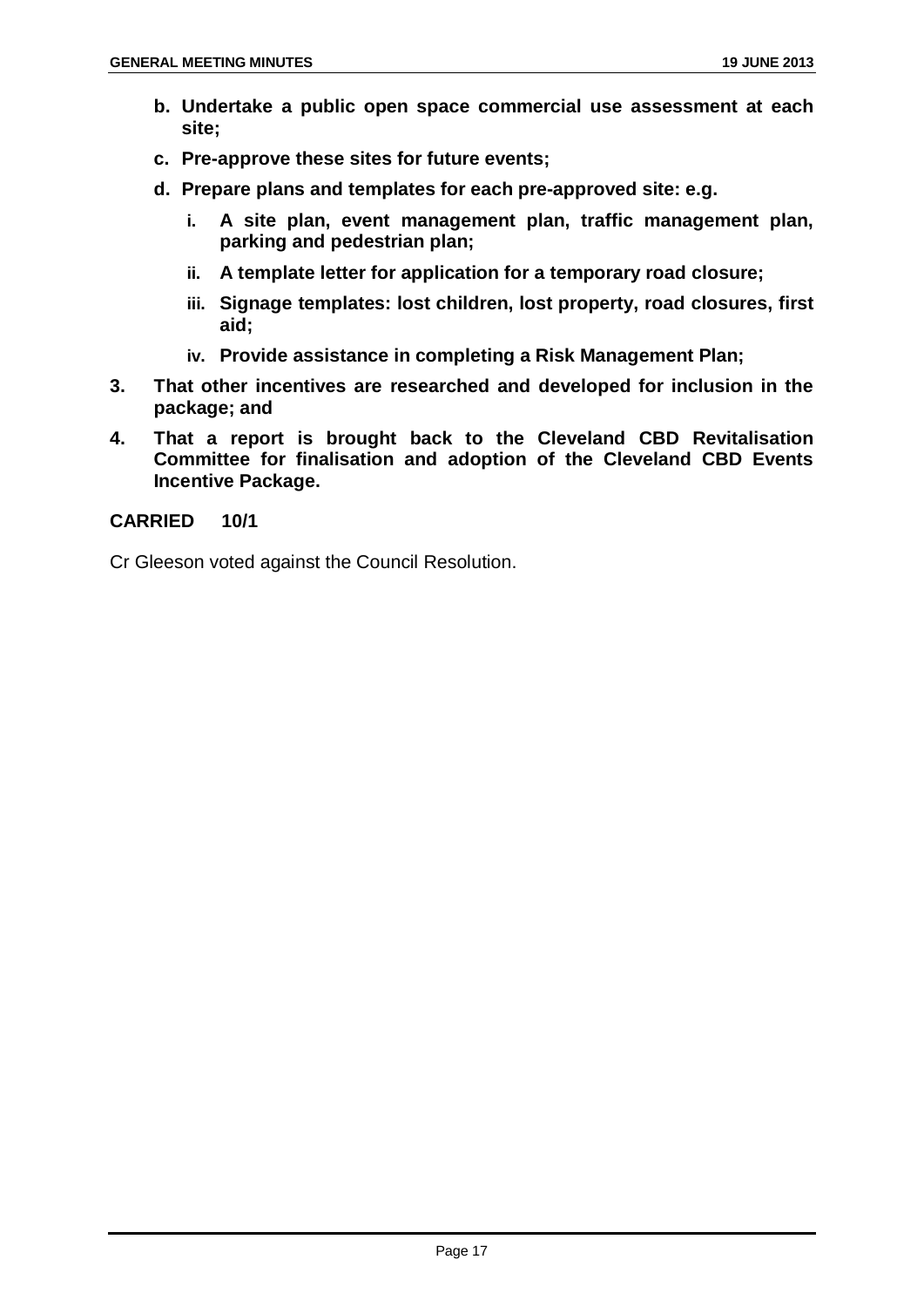- **b. Undertake a public open space commercial use assessment at each site;**
- **c. Pre-approve these sites for future events;**
- **d. Prepare plans and templates for each pre-approved site: e.g.** 
	- **i. A site plan, event management plan, traffic management plan, parking and pedestrian plan;**
	- **ii. A template letter for application for a temporary road closure;**
	- **iii. Signage templates: lost children, lost property, road closures, first aid;**
	- **iv. Provide assistance in completing a Risk Management Plan;**
- **3. That other incentives are researched and developed for inclusion in the package; and**
- **4. That a report is brought back to the Cleveland CBD Revitalisation Committee for finalisation and adoption of the Cleveland CBD Events Incentive Package.**

#### **CARRIED 10/1**

Cr Gleeson voted against the Council Resolution.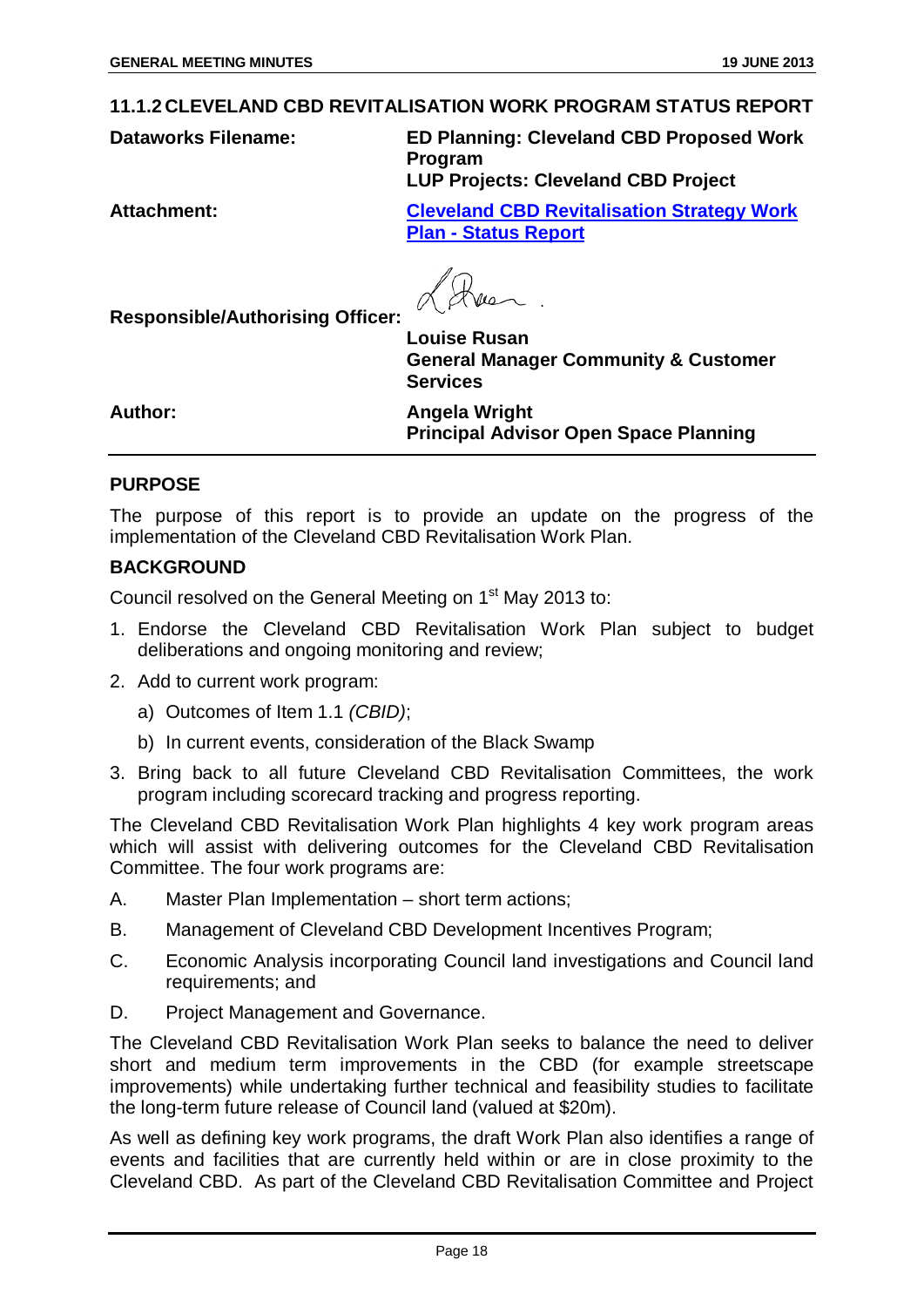#### <span id="page-18-0"></span>**11.1.2 CLEVELAND CBD REVITALISATION WORK PROGRAM STATUS REPORT**

**Dataworks Filename: ED Planning: Cleveland CBD Proposed Work Program LUP Projects: Cleveland CBD Project**

**Attachment: Cleveland CBD Revitalisation Strategy Work Plan - Status Report**

**Louise Rusan General Manager Community & Customer Services**

**Author: Angela Wright Principal Advisor Open Space Planning**

#### **PURPOSE**

The purpose of this report is to provide an update on the progress of the implementation of the Cleveland CBD Revitalisation Work Plan.

#### **BACKGROUND**

Council resolved on the General Meeting on 1<sup>st</sup> May 2013 to:

- 1. Endorse the Cleveland CBD Revitalisation Work Plan subject to budget deliberations and ongoing monitoring and review;
- 2. Add to current work program:

**Responsible/Authorising Officer:**

- a) Outcomes of Item 1.1 *(CBID)*;
- b) In current events, consideration of the Black Swamp
- 3. Bring back to all future Cleveland CBD Revitalisation Committees, the work program including scorecard tracking and progress reporting.

The Cleveland CBD Revitalisation Work Plan highlights 4 key work program areas which will assist with delivering outcomes for the Cleveland CBD Revitalisation Committee. The four work programs are:

- A. Master Plan Implementation short term actions;
- B. Management of Cleveland CBD Development Incentives Program;
- C. Economic Analysis incorporating Council land investigations and Council land requirements; and
- D. Project Management and Governance.

The Cleveland CBD Revitalisation Work Plan seeks to balance the need to deliver short and medium term improvements in the CBD (for example streetscape improvements) while undertaking further technical and feasibility studies to facilitate the long-term future release of Council land (valued at \$20m).

As well as defining key work programs, the draft Work Plan also identifies a range of events and facilities that are currently held within or are in close proximity to the Cleveland CBD. As part of the Cleveland CBD Revitalisation Committee and Project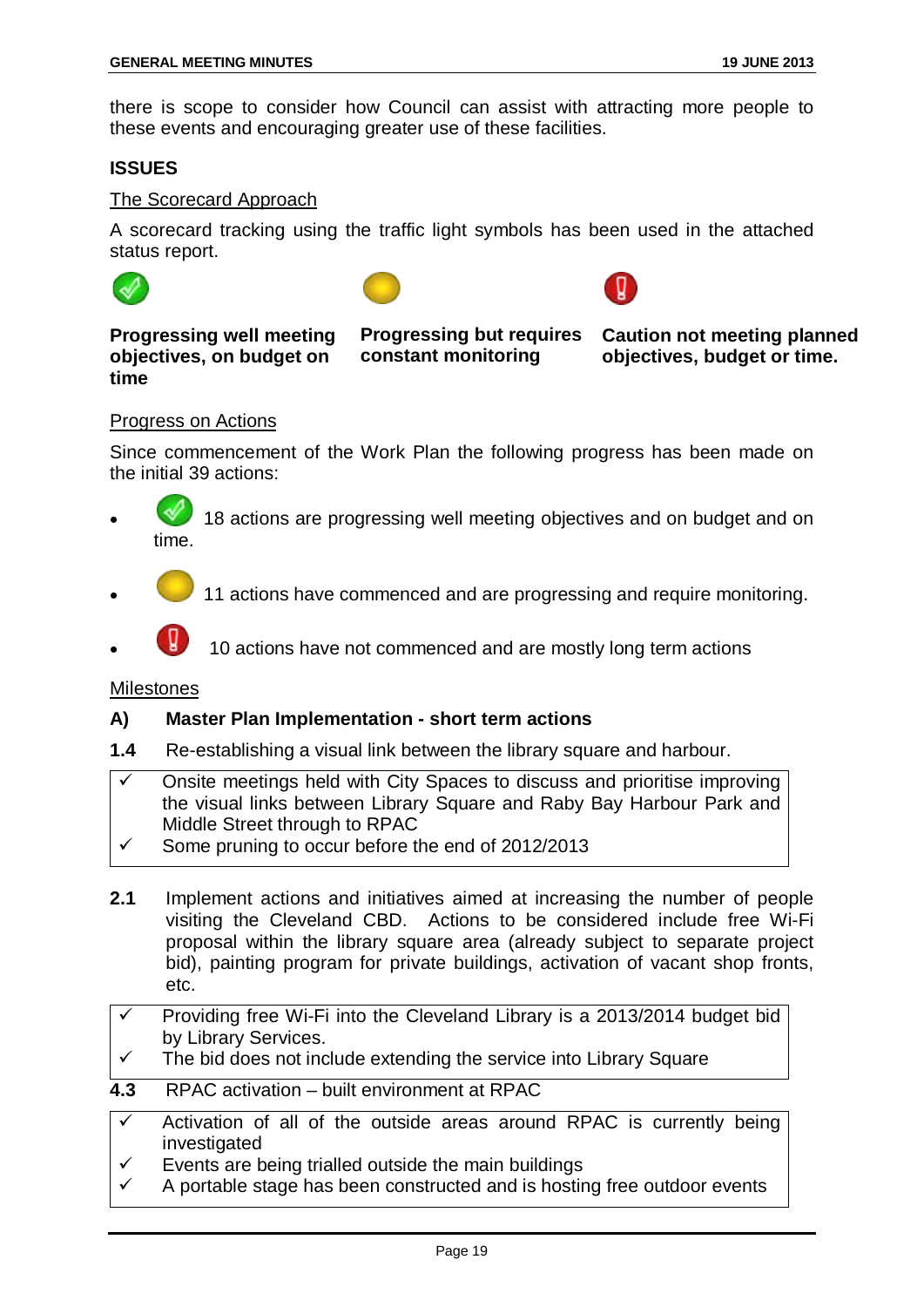there is scope to consider how Council can assist with attracting more people to these events and encouraging greater use of these facilities.

#### **ISSUES**

#### The Scorecard Approach

A scorecard tracking using the traffic light symbols has been used in the attached status report.



**Progressing well meeting objectives, on budget on time** 



**Caution not meeting planned objectives, budget or time.** 

#### Progress on Actions

Since commencement of the Work Plan the following progress has been made on the initial 39 actions:

- 18 actions are progressing well meeting objectives and on budget and on time.
- 11 actions have commenced and are progressing and require monitoring.
- 10 actions have not commenced and are mostly long term actions

#### Milestones

#### **A) Master Plan Implementation - short term actions**

- **1.4** Re-establishing a visual link between the library square and harbour.
- Onsite meetings held with City Spaces to discuss and prioritise improving the visual links between Library Square and Raby Bay Harbour Park and Middle Street through to RPAC
- Some pruning to occur before the end of 2012/2013
- **2.1** Implement actions and initiatives aimed at increasing the number of people visiting the Cleveland CBD. Actions to be considered include free Wi-Fi proposal within the library square area (already subject to separate project bid), painting program for private buildings, activation of vacant shop fronts, etc.
- Providing free Wi-Fi into the Cleveland Library is a 2013/2014 budget bid by Library Services.
- $\checkmark$  The bid does not include extending the service into Library Square
- **4.3** RPAC activation built environment at RPAC
- $\checkmark$  Activation of all of the outside areas around RPAC is currently being investigated
- $\checkmark$  Events are being trialled outside the main buildings
- A portable stage has been constructed and is hosting free outdoor events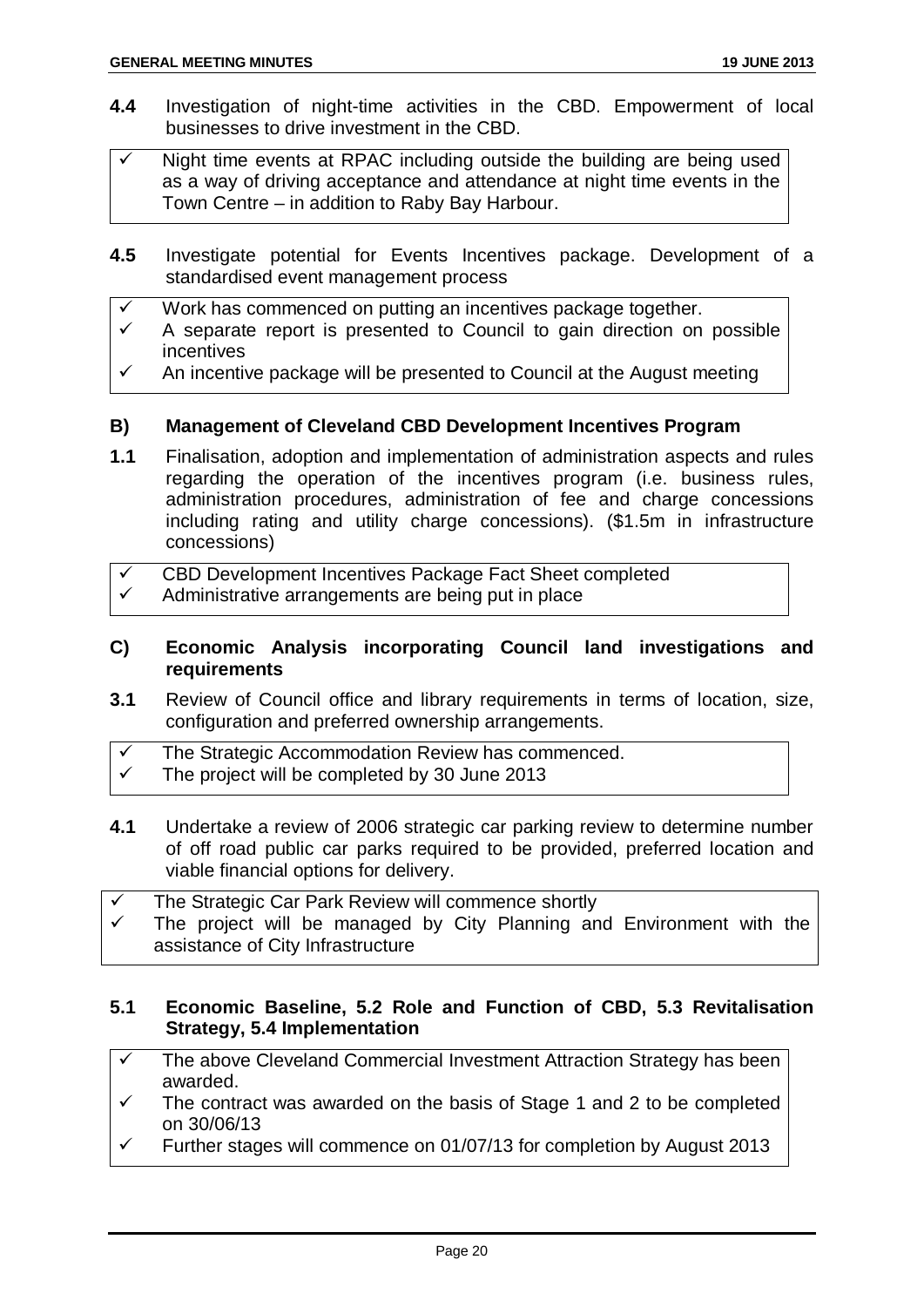- **4.4** Investigation of night-time activities in the CBD. Empowerment of local businesses to drive investment in the CBD.
- $\checkmark$  Night time events at RPAC including outside the building are being used as a way of driving acceptance and attendance at night time events in the Town Centre – in addition to Raby Bay Harbour.
- **4.5** Investigate potential for Events Incentives package. Development of a standardised event management process
- Work has commenced on putting an incentives package together.
- $\checkmark$  A separate report is presented to Council to gain direction on possible incentives
- $\checkmark$  An incentive package will be presented to Council at the August meeting

#### **B) Management of Cleveland CBD Development Incentives Program**

- **1.1** Finalisation, adoption and implementation of administration aspects and rules regarding the operation of the incentives program (i.e. business rules, administration procedures, administration of fee and charge concessions including rating and utility charge concessions). (\$1.5m in infrastructure concessions)
- $\checkmark$  CBD Development Incentives Package Fact Sheet completed  $\checkmark$  Administrative arrangements are being put in place
- **C) Economic Analysis incorporating Council land investigations and requirements**
- **3.1** Review of Council office and library requirements in terms of location, size, configuration and preferred ownership arrangements.
- $\checkmark$  The Strategic Accommodation Review has commenced.<br> $\checkmark$  The project will be completed by 30 June 2013
- The project will be completed by 30 June 2013
- **4.1** Undertake a review of 2006 strategic car parking review to determine number of off road public car parks required to be provided, preferred location and viable financial options for delivery.
- The Strategic Car Park Review will commence shortly The project will be managed by City Planning and Environment with the assistance of City Infrastructure

#### **5.1 Economic Baseline, 5.2 Role and Function of CBD, 5.3 Revitalisation Strategy, 5.4 Implementation**

- The above Cleveland Commercial Investment Attraction Strategy has been awarded.
- $\checkmark$  The contract was awarded on the basis of Stage 1 and 2 to be completed on 30/06/13
- Further stages will commence on 01/07/13 for completion by August 2013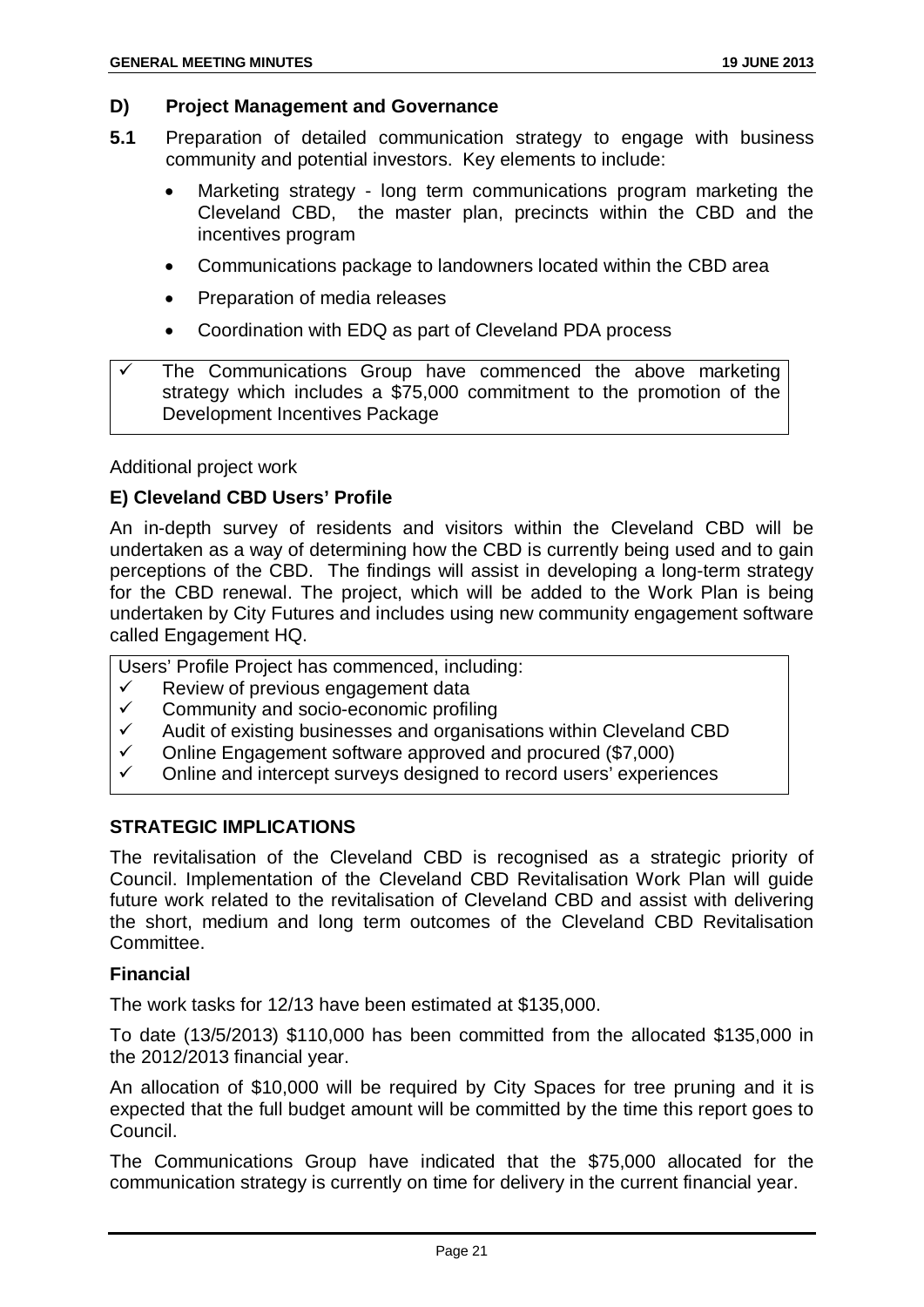#### **D) Project Management and Governance**

- **5.1** Preparation of detailed communication strategy to engage with business community and potential investors. Key elements to include:
	- Marketing strategy long term communications program marketing the Cleveland CBD, the master plan, precincts within the CBD and the incentives program
	- Communications package to landowners located within the CBD area
	- Preparation of media releases
	- Coordination with EDQ as part of Cleveland PDA process

Additional project work

#### **E) Cleveland CBD Users' Profile**

An in-depth survey of residents and visitors within the Cleveland CBD will be undertaken as a way of determining how the CBD is currently being used and to gain perceptions of the CBD. The findings will assist in developing a long-term strategy for the CBD renewal. The project, which will be added to the Work Plan is being undertaken by City Futures and includes using new community engagement software called Engagement HQ.

Users' Profile Project has commenced, including:

- $\checkmark$  Review of previous engagement data<br> $\checkmark$  Community and socio-economic profil
- $\checkmark$  Community and socio-economic profiling  $\checkmark$  Audit of existing businesses and organisation
- Audit of existing businesses and organisations within Cleveland CBD
- $\checkmark$  Online Engagement software approved and procured (\$7,000)<br> $\checkmark$  Online and intercent surveys designed to record users' experies
- Online and intercept surveys designed to record users' experiences

#### **STRATEGIC IMPLICATIONS**

The revitalisation of the Cleveland CBD is recognised as a strategic priority of Council. Implementation of the Cleveland CBD Revitalisation Work Plan will guide future work related to the revitalisation of Cleveland CBD and assist with delivering the short, medium and long term outcomes of the Cleveland CBD Revitalisation Committee.

#### **Financial**

The work tasks for 12/13 have been estimated at \$135,000.

To date (13/5/2013) \$110,000 has been committed from the allocated \$135,000 in the 2012/2013 financial year.

An allocation of \$10,000 will be required by City Spaces for tree pruning and it is expected that the full budget amount will be committed by the time this report goes to Council.

The Communications Group have indicated that the \$75,000 allocated for the communication strategy is currently on time for delivery in the current financial year.

The Communications Group have commenced the above marketing strategy which includes a \$75,000 commitment to the promotion of the Development Incentives Package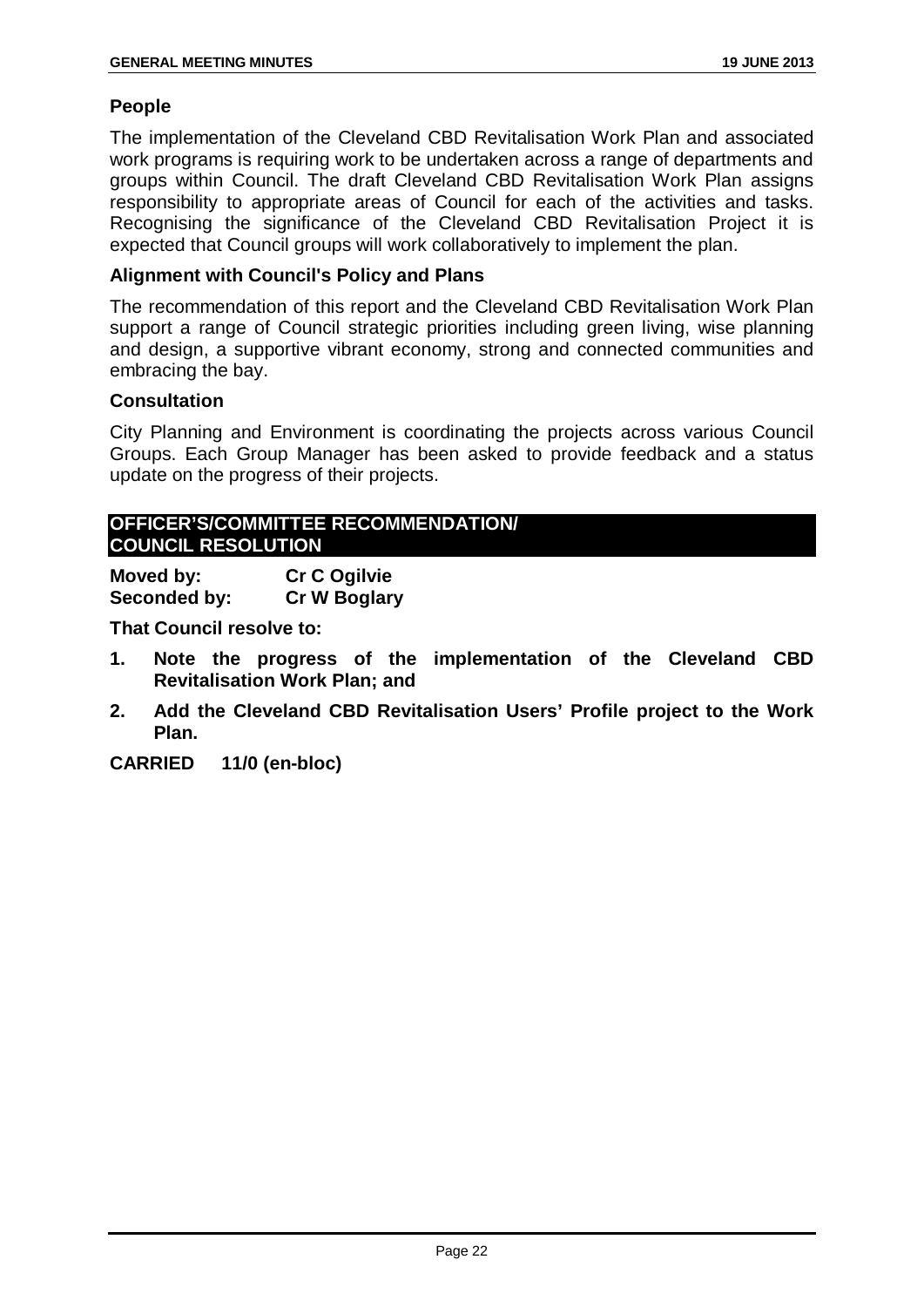#### **People**

The implementation of the Cleveland CBD Revitalisation Work Plan and associated work programs is requiring work to be undertaken across a range of departments and groups within Council. The draft Cleveland CBD Revitalisation Work Plan assigns responsibility to appropriate areas of Council for each of the activities and tasks. Recognising the significance of the Cleveland CBD Revitalisation Project it is expected that Council groups will work collaboratively to implement the plan.

#### **Alignment with Council's Policy and Plans**

The recommendation of this report and the Cleveland CBD Revitalisation Work Plan support a range of Council strategic priorities including green living, wise planning and design, a supportive vibrant economy, strong and connected communities and embracing the bay.

#### **Consultation**

City Planning and Environment is coordinating the projects across various Council Groups. Each Group Manager has been asked to provide feedback and a status update on the progress of their projects.

#### **OFFICER'S/COMMITTEE RECOMMENDATION/ COUNCIL RESOLUTION**

**Moved by: Cr C Ogilvie Seconded by: Cr W Boglary**

**That Council resolve to:**

- **1. Note the progress of the implementation of the Cleveland CBD Revitalisation Work Plan; and**
- **2. Add the Cleveland CBD Revitalisation Users' Profile project to the Work Plan.**

**CARRIED 11/0 (en-bloc)**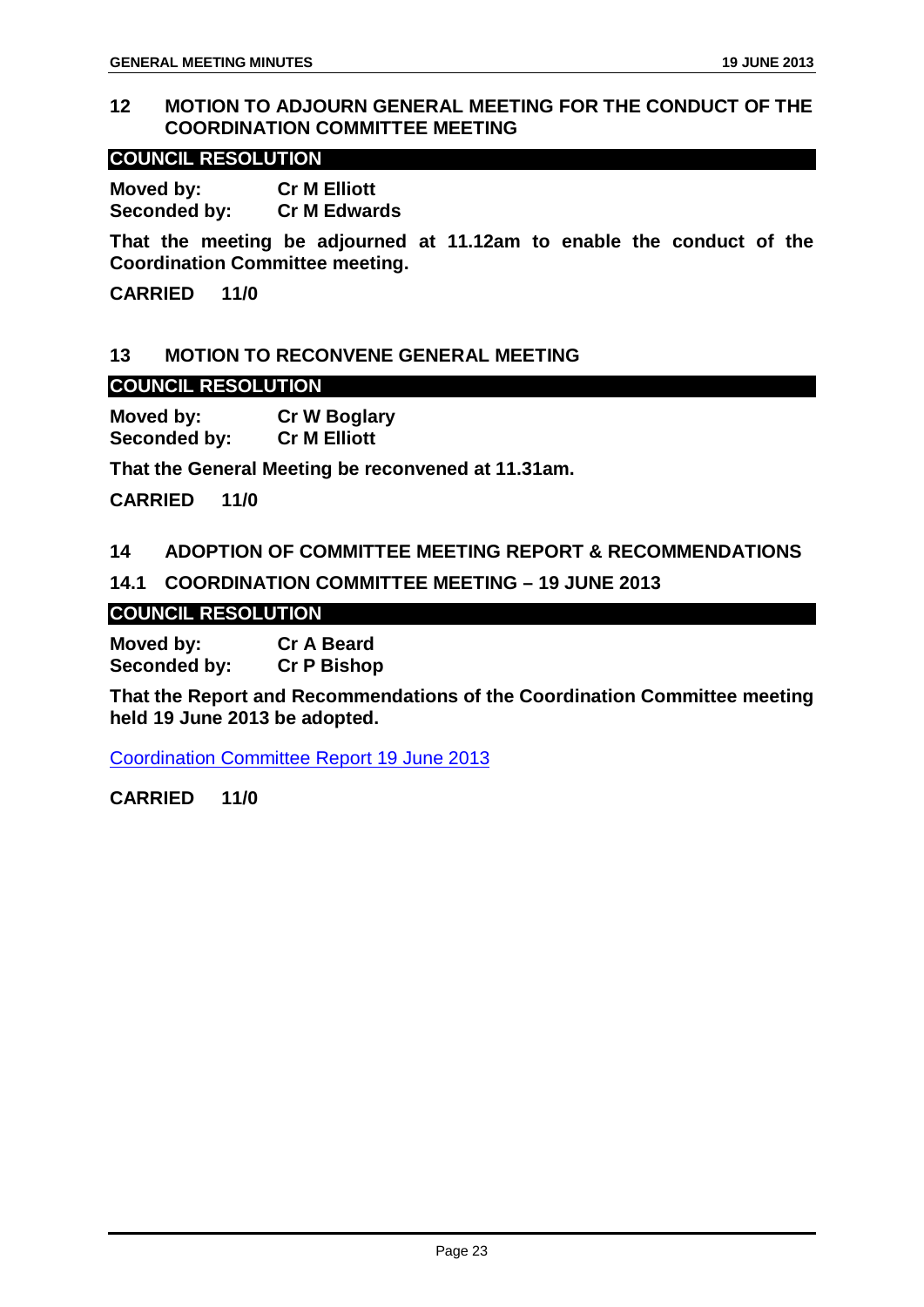#### <span id="page-23-0"></span>**12 MOTION TO ADJOURN GENERAL MEETING FOR THE CONDUCT OF THE COORDINATION COMMITTEE MEETING**

#### **COUNCIL RESOLUTION**

**Moved by: Cr M Elliott Seconded by: Cr M Edwards**

**That the meeting be adjourned at 11.12am to enable the conduct of the Coordination Committee meeting.**

**CARRIED 11/0**

#### <span id="page-23-1"></span>**13 MOTION TO RECONVENE GENERAL MEETING**

#### **COUNCIL RESOLUTION**

**Moved by: Cr W Boglary Seconded by:** 

**That the General Meeting be reconvened at 11.31am.**

**CARRIED 11/0**

#### <span id="page-23-2"></span>**14 ADOPTION OF COMMITTEE MEETING REPORT & RECOMMENDATIONS**

#### <span id="page-23-3"></span>**14.1 COORDINATION COMMITTEE MEETING – 19 JUNE 2013**

#### **COUNCIL RESOLUTION**

**Moved by: Cr A Beard Seconded by:** 

**That the Report and Recommendations of the Coordination Committee meeting held 19 June 2013 be adopted.**

Coordination Committee Report 19 June 2013

**CARRIED 11/0**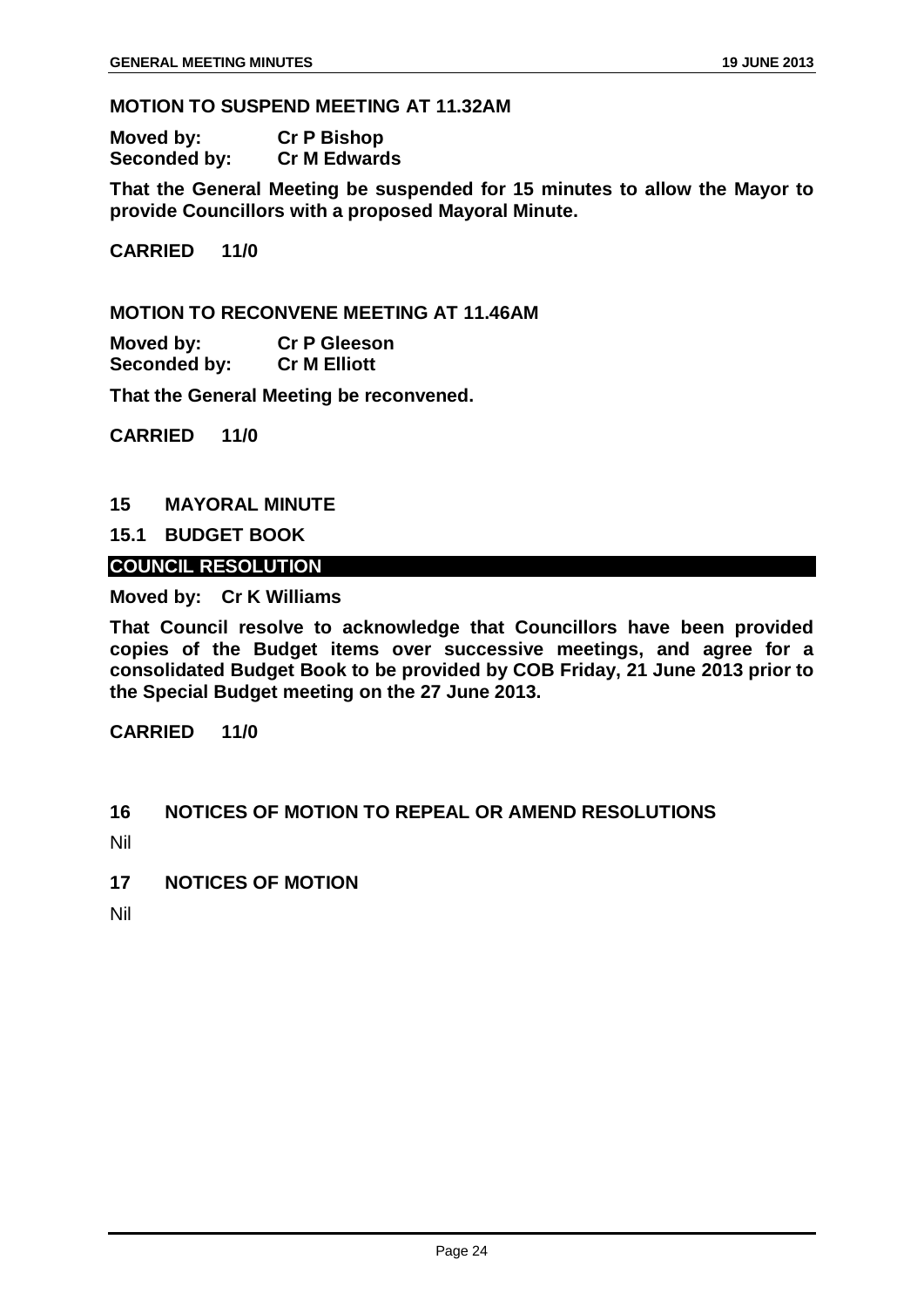#### <span id="page-24-0"></span>**MOTION TO SUSPEND MEETING AT 11.32AM**

| Moved by:    | <b>Cr P Bishop</b>  |
|--------------|---------------------|
| Seconded by: | <b>Cr M Edwards</b> |

**That the General Meeting be suspended for 15 minutes to allow the Mayor to provide Councillors with a proposed Mayoral Minute.**

**CARRIED 11/0**

**MOTION TO RECONVENE MEETING AT 11.46AM**

**Moved by: Cr P Gleeson Seconded by:** 

**That the General Meeting be reconvened.**

**CARRIED 11/0**

#### <span id="page-24-1"></span>**15 MAYORAL MINUTE**

#### <span id="page-24-2"></span>**15.1 BUDGET BOOK**

#### **COUNCIL RESOLUTION**

**Moved by: Cr K Williams**

**That Council resolve to acknowledge that Councillors have been provided copies of the Budget items over successive meetings, and agree for a consolidated Budget Book to be provided by COB Friday, 21 June 2013 prior to the Special Budget meeting on the 27 June 2013.**

**CARRIED 11/0**

#### <span id="page-24-3"></span>**16 NOTICES OF MOTION TO REPEAL OR AMEND RESOLUTIONS**

- Nil
- <span id="page-24-4"></span>**17 NOTICES OF MOTION**
- Nil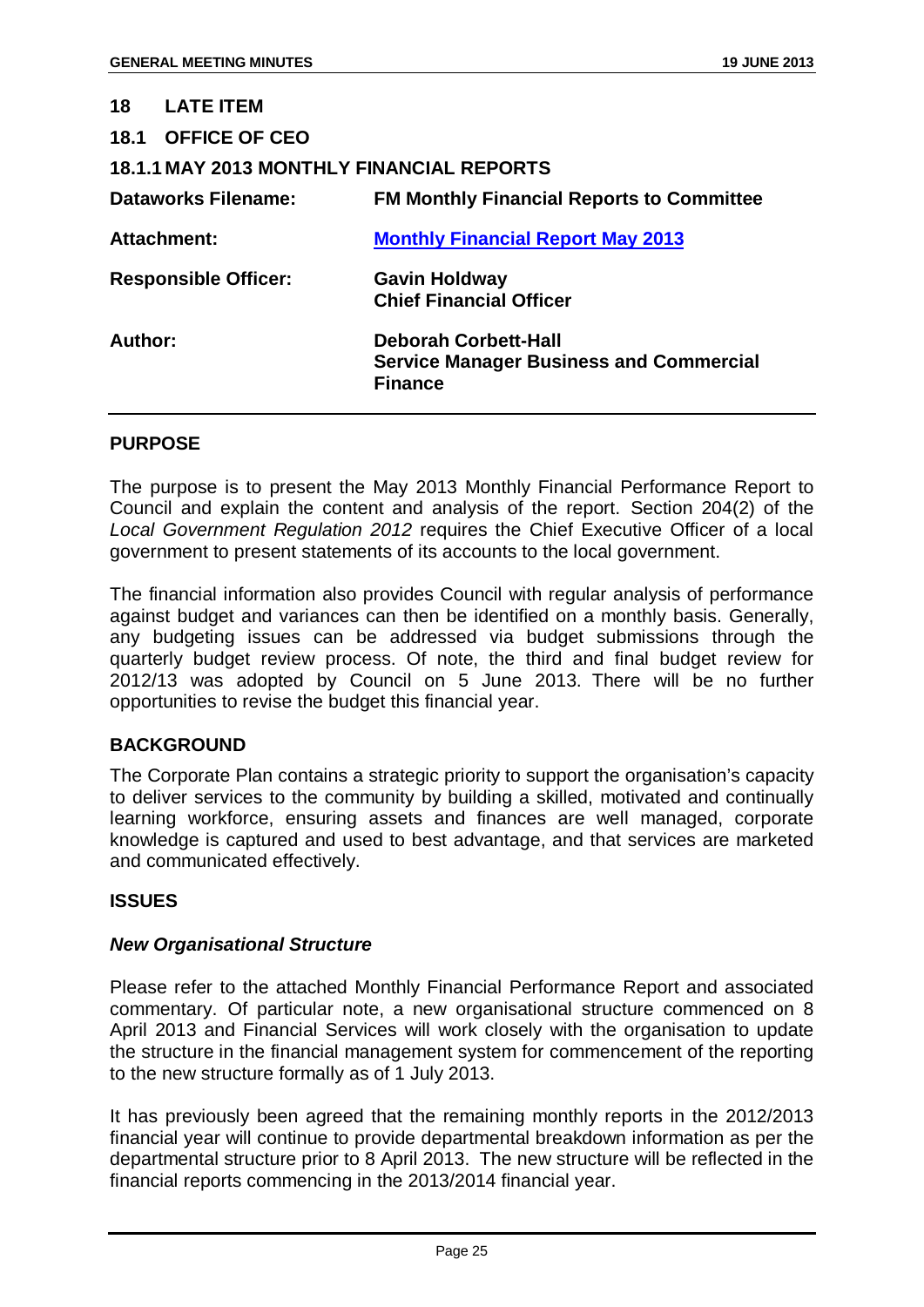<span id="page-25-2"></span><span id="page-25-1"></span><span id="page-25-0"></span>

| 18.1 OFFICE OF CEO<br><b>18.1.1 MAY 2013 MONTHLY FINANCIAL REPORTS</b><br><b>Dataworks Filename:</b><br>Attachment:<br><b>Monthly Financial Report May 2013</b><br><b>Responsible Officer:</b><br><b>Gavin Holdway</b><br><b>Chief Financial Officer</b><br>Author:<br><b>Deborah Corbett-Hall</b><br><b>Service Manager Business and Commercial</b><br><b>Finance</b> | 18 <sup>1</sup><br><b>LATE ITEM</b> |                                                  |
|------------------------------------------------------------------------------------------------------------------------------------------------------------------------------------------------------------------------------------------------------------------------------------------------------------------------------------------------------------------------|-------------------------------------|--------------------------------------------------|
|                                                                                                                                                                                                                                                                                                                                                                        |                                     |                                                  |
|                                                                                                                                                                                                                                                                                                                                                                        |                                     |                                                  |
|                                                                                                                                                                                                                                                                                                                                                                        |                                     | <b>FM Monthly Financial Reports to Committee</b> |
|                                                                                                                                                                                                                                                                                                                                                                        |                                     |                                                  |
|                                                                                                                                                                                                                                                                                                                                                                        |                                     |                                                  |
|                                                                                                                                                                                                                                                                                                                                                                        |                                     |                                                  |

#### **PURPOSE**

The purpose is to present the May 2013 Monthly Financial Performance Report to Council and explain the content and analysis of the report. Section 204(2) of the *Local Government Regulation 2012* requires the Chief Executive Officer of a local government to present statements of its accounts to the local government.

The financial information also provides Council with regular analysis of performance against budget and variances can then be identified on a monthly basis. Generally, any budgeting issues can be addressed via budget submissions through the quarterly budget review process. Of note, the third and final budget review for 2012/13 was adopted by Council on 5 June 2013. There will be no further opportunities to revise the budget this financial year.

#### **BACKGROUND**

The Corporate Plan contains a strategic priority to support the organisation's capacity to deliver services to the community by building a skilled, motivated and continually learning workforce, ensuring assets and finances are well managed, corporate knowledge is captured and used to best advantage, and that services are marketed and communicated effectively.

#### **ISSUES**

#### *New Organisational Structure*

Please refer to the attached Monthly Financial Performance Report and associated commentary. Of particular note, a new organisational structure commenced on 8 April 2013 and Financial Services will work closely with the organisation to update the structure in the financial management system for commencement of the reporting to the new structure formally as of 1 July 2013.

It has previously been agreed that the remaining monthly reports in the 2012/2013 financial year will continue to provide departmental breakdown information as per the departmental structure prior to 8 April 2013. The new structure will be reflected in the financial reports commencing in the 2013/2014 financial year.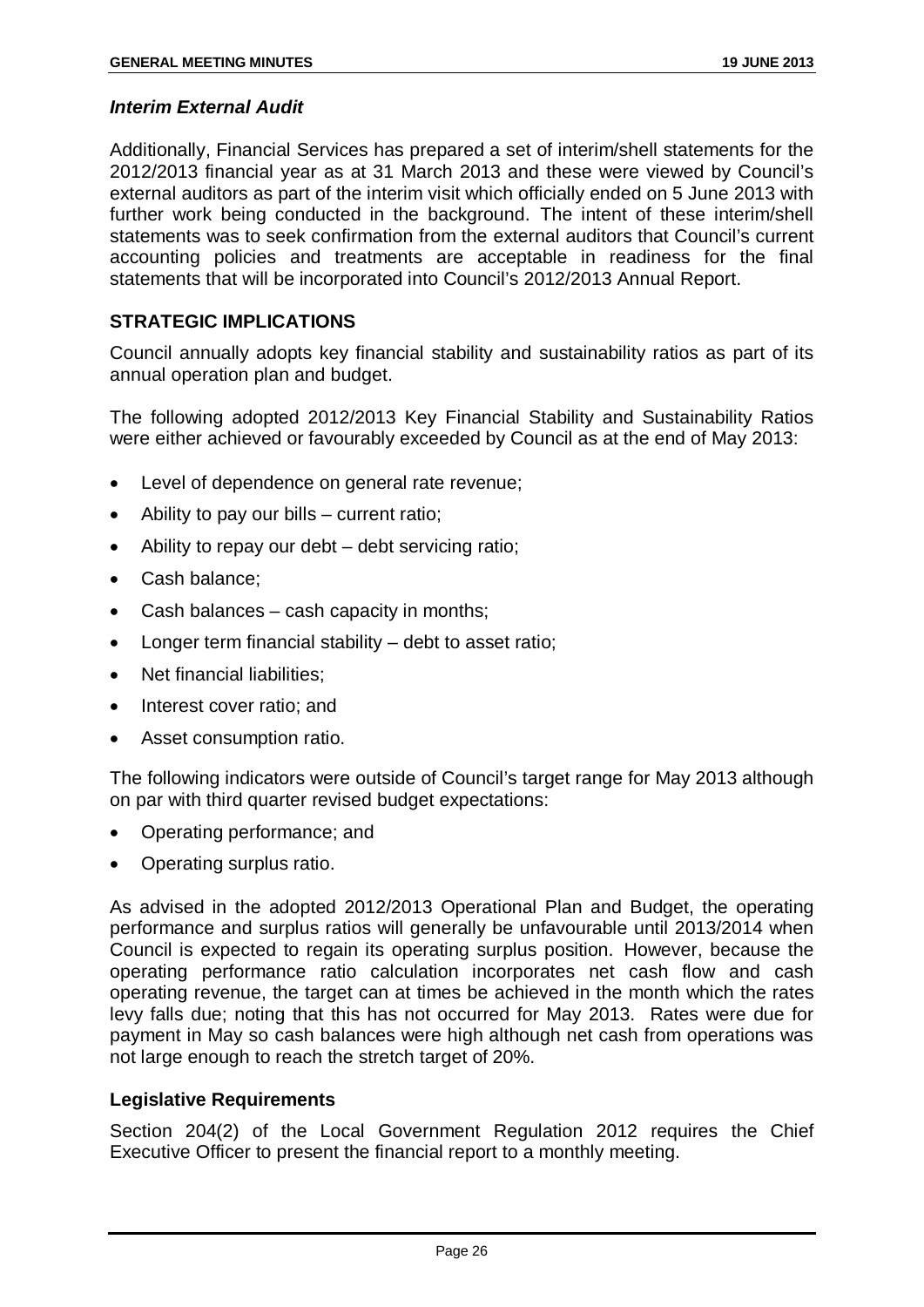#### *Interim External Audit*

Additionally, Financial Services has prepared a set of interim/shell statements for the 2012/2013 financial year as at 31 March 2013 and these were viewed by Council's external auditors as part of the interim visit which officially ended on 5 June 2013 with further work being conducted in the background. The intent of these interim/shell statements was to seek confirmation from the external auditors that Council's current accounting policies and treatments are acceptable in readiness for the final statements that will be incorporated into Council's 2012/2013 Annual Report.

#### **STRATEGIC IMPLICATIONS**

Council annually adopts key financial stability and sustainability ratios as part of its annual operation plan and budget.

The following adopted 2012/2013 Key Financial Stability and Sustainability Ratios were either achieved or favourably exceeded by Council as at the end of May 2013:

- Level of dependence on general rate revenue;
- Ability to pay our bills current ratio;
- Ability to repay our debt debt servicing ratio;
- Cash balance;
- Cash balances cash capacity in months;
- Longer term financial stability debt to asset ratio;
- Net financial liabilities:
- Interest cover ratio: and
- Asset consumption ratio.

The following indicators were outside of Council's target range for May 2013 although on par with third quarter revised budget expectations:

- Operating performance; and
- Operating surplus ratio.

As advised in the adopted 2012/2013 Operational Plan and Budget, the operating performance and surplus ratios will generally be unfavourable until 2013/2014 when Council is expected to regain its operating surplus position. However, because the operating performance ratio calculation incorporates net cash flow and cash operating revenue, the target can at times be achieved in the month which the rates levy falls due; noting that this has not occurred for May 2013. Rates were due for payment in May so cash balances were high although net cash from operations was not large enough to reach the stretch target of 20%.

#### **Legislative Requirements**

Section 204(2) of the Local Government Regulation 2012 requires the Chief Executive Officer to present the financial report to a monthly meeting.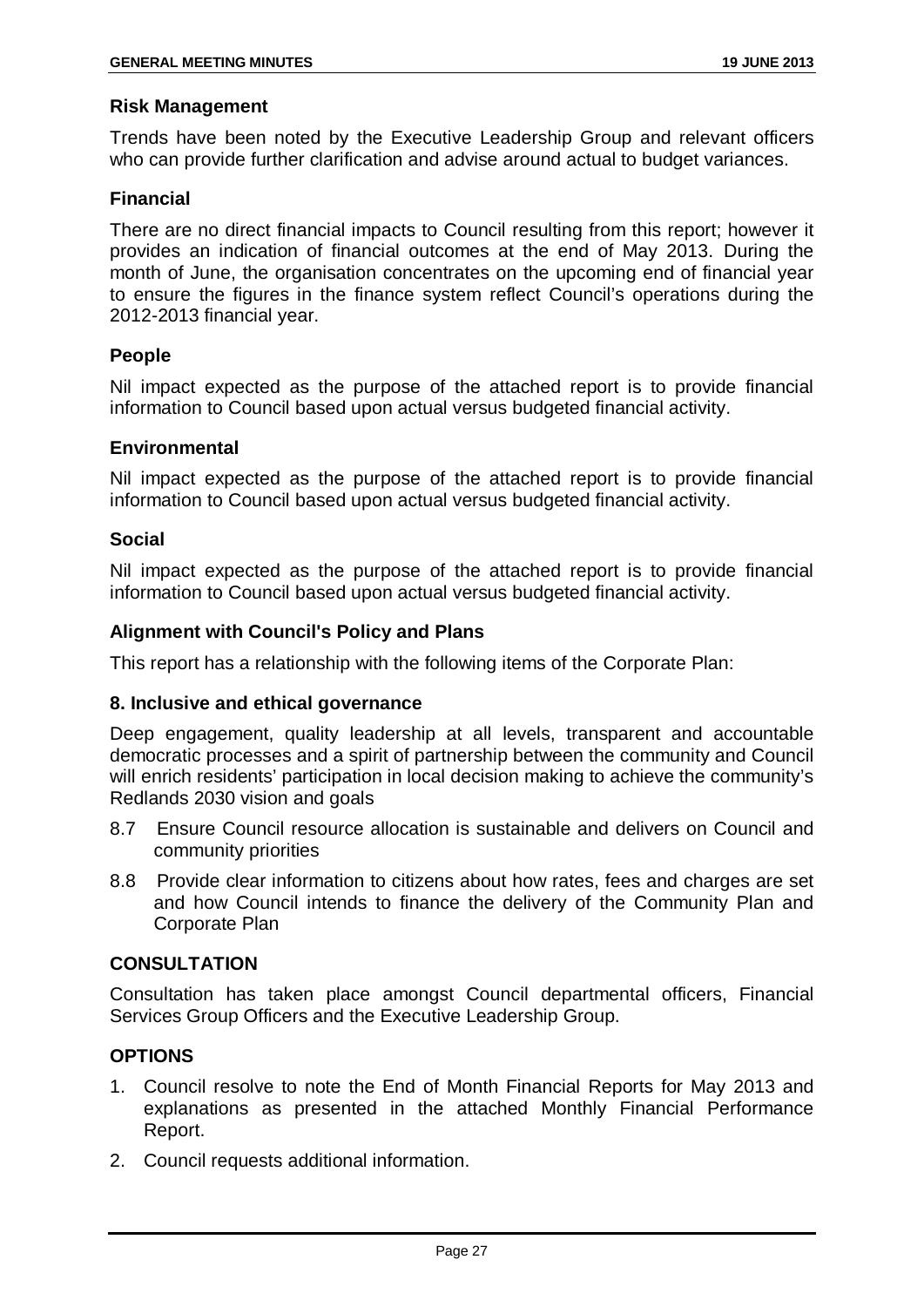#### **Risk Management**

Trends have been noted by the Executive Leadership Group and relevant officers who can provide further clarification and advise around actual to budget variances.

#### **Financial**

There are no direct financial impacts to Council resulting from this report; however it provides an indication of financial outcomes at the end of May 2013. During the month of June, the organisation concentrates on the upcoming end of financial year to ensure the figures in the finance system reflect Council's operations during the 2012-2013 financial year.

#### **People**

Nil impact expected as the purpose of the attached report is to provide financial information to Council based upon actual versus budgeted financial activity.

#### **Environmental**

Nil impact expected as the purpose of the attached report is to provide financial information to Council based upon actual versus budgeted financial activity.

#### **Social**

Nil impact expected as the purpose of the attached report is to provide financial information to Council based upon actual versus budgeted financial activity.

#### **Alignment with Council's Policy and Plans**

This report has a relationship with the following items of the Corporate Plan:

#### **8. Inclusive and ethical governance**

Deep engagement, quality leadership at all levels, transparent and accountable democratic processes and a spirit of partnership between the community and Council will enrich residents' participation in local decision making to achieve the community's Redlands 2030 vision and goals

- 8.7 Ensure Council resource allocation is sustainable and delivers on Council and community priorities
- 8.8 Provide clear information to citizens about how rates, fees and charges are set and how Council intends to finance the delivery of the Community Plan and Corporate Plan

#### **CONSULTATION**

Consultation has taken place amongst Council departmental officers, Financial Services Group Officers and the Executive Leadership Group.

#### **OPTIONS**

- 1. Council resolve to note the End of Month Financial Reports for May 2013 and explanations as presented in the attached Monthly Financial Performance Report.
- 2. Council requests additional information.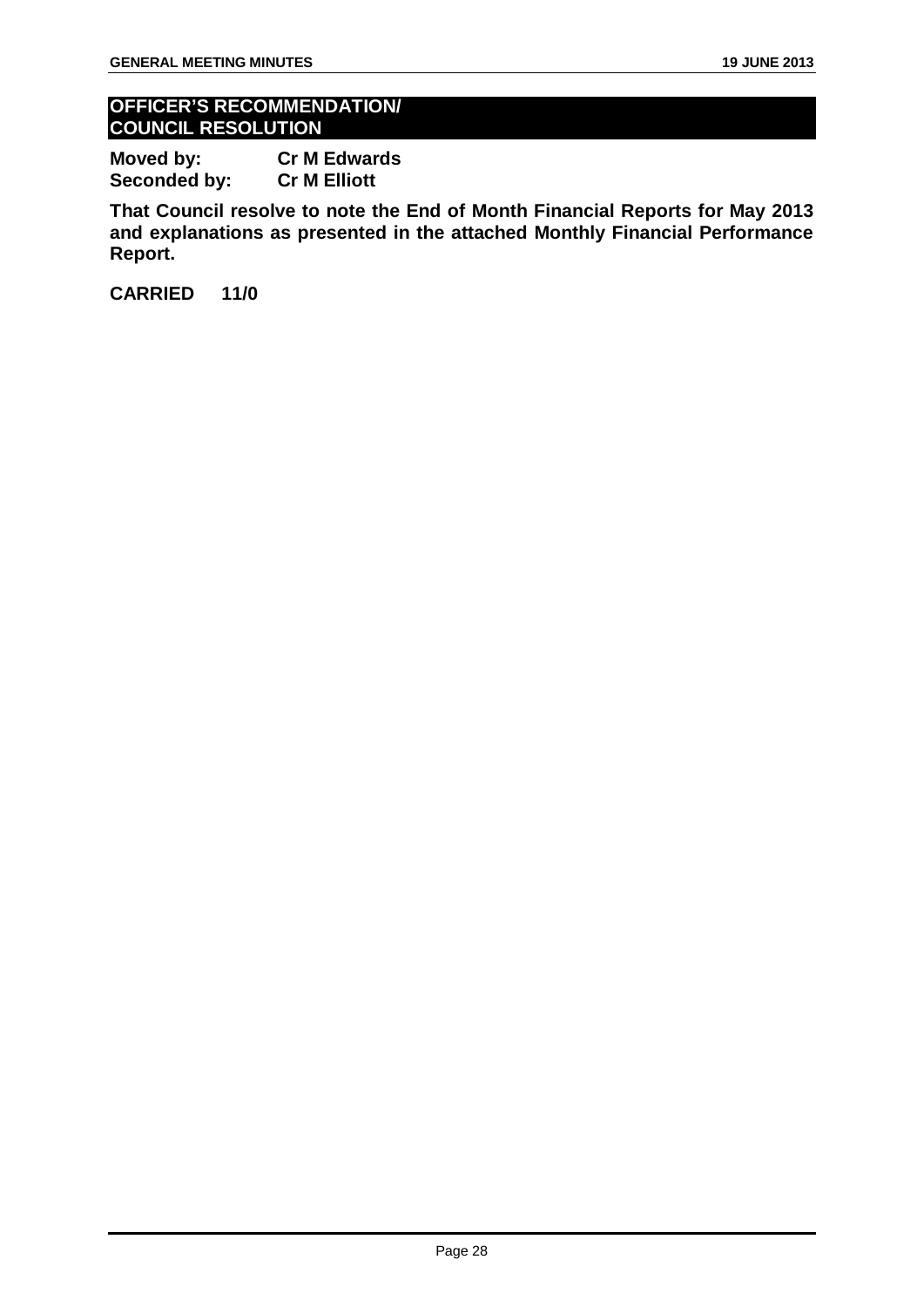#### **OFFICER'S RECOMMENDATION/ COUNCIL RESOLUTION**

**Moved by: Cr M Edwards Seconded by:** 

**That Council resolve to note the End of Month Financial Reports for May 2013 and explanations as presented in the attached Monthly Financial Performance Report.**

**CARRIED 11/0**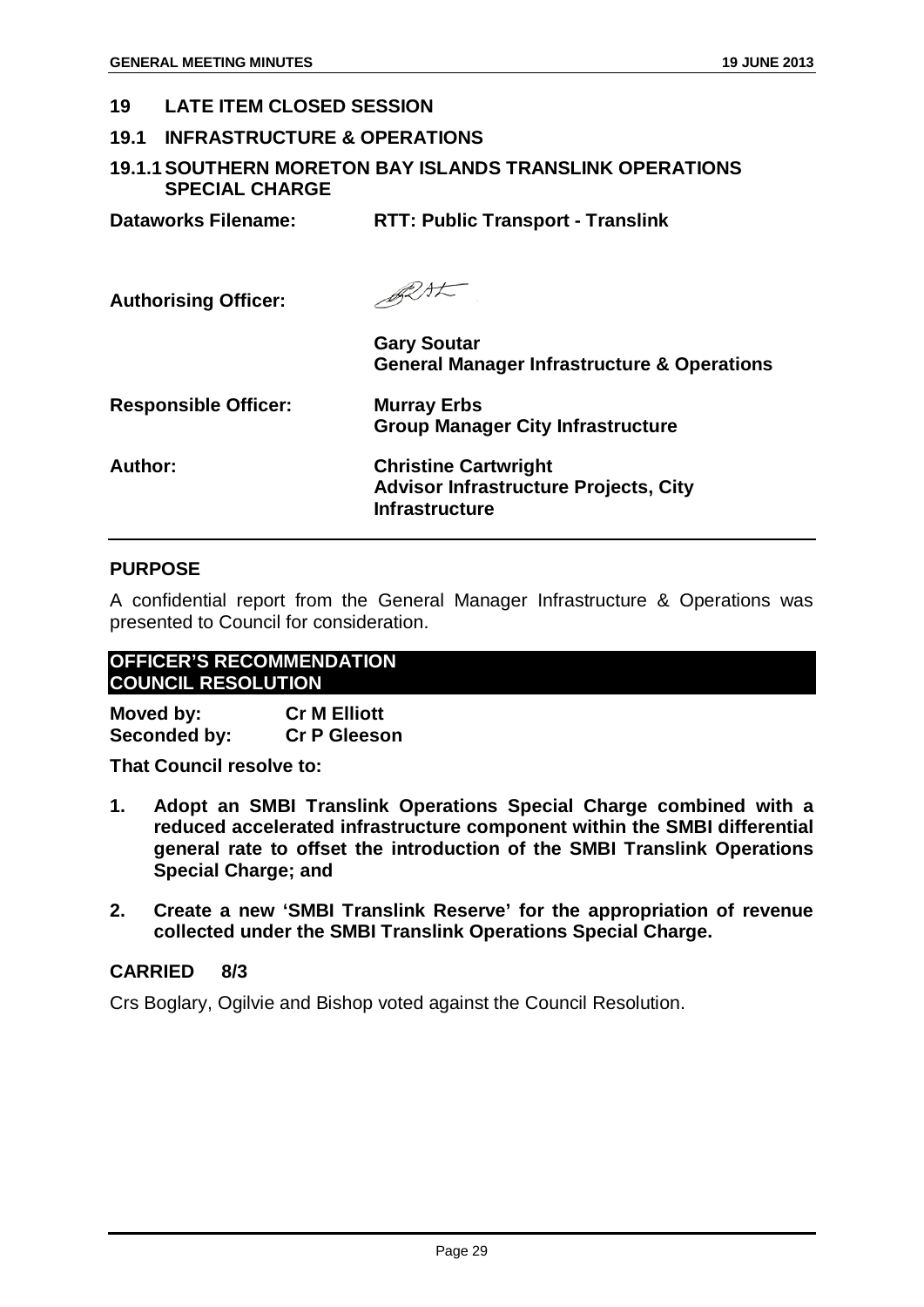#### <span id="page-29-0"></span>**19 LATE ITEM CLOSED SESSION**

#### <span id="page-29-1"></span>**19.1 INFRASTRUCTURE & OPERATIONS**

#### <span id="page-29-2"></span>**19.1.1SOUTHERN MORETON BAY ISLANDS TRANSLINK OPERATIONS SPECIAL CHARGE**

| <b>Dataworks Filename:</b>  | <b>RTT: Public Transport - Translink</b>                                                             |
|-----------------------------|------------------------------------------------------------------------------------------------------|
| <b>Authorising Officer:</b> | BLAL                                                                                                 |
|                             | <b>Gary Soutar</b><br><b>General Manager Infrastructure &amp; Operations</b>                         |
| <b>Responsible Officer:</b> | <b>Murray Erbs</b><br><b>Group Manager City Infrastructure</b>                                       |
| Author:                     | <b>Christine Cartwright</b><br><b>Advisor Infrastructure Projects, City</b><br><b>Infrastructure</b> |

#### **PURPOSE**

A confidential report from the General Manager Infrastructure & Operations was presented to Council for consideration.

#### **OFFICER'S RECOMMENDATION COUNCIL RESOLUTION**

**Moved by: Cr M Elliott Seconded by:** 

**That Council resolve to:**

- **1. Adopt an SMBI Translink Operations Special Charge combined with a reduced accelerated infrastructure component within the SMBI differential general rate to offset the introduction of the SMBI Translink Operations Special Charge; and**
- **2. Create a new 'SMBI Translink Reserve' for the appropriation of revenue collected under the SMBI Translink Operations Special Charge.**

#### **CARRIED 8/3**

Crs Boglary, Ogilvie and Bishop voted against the Council Resolution.